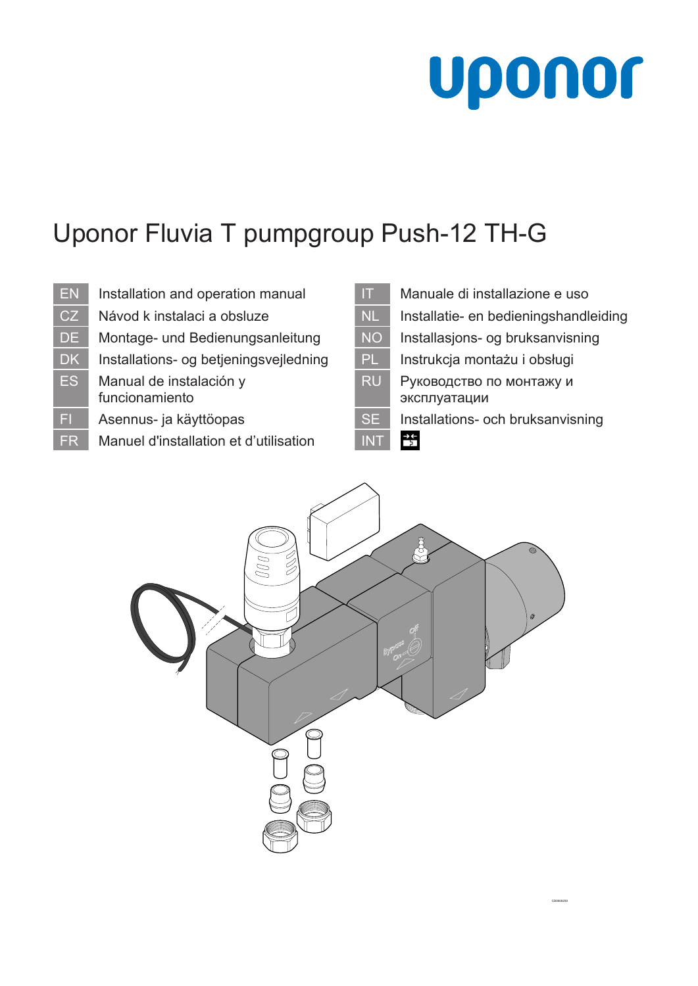# Uponor

## Uponor Fluvia T pumpgroup Push-12 TH-G

| EN  |  |
|-----|--|
| CZ  |  |
| DE  |  |
| DK  |  |
| ES  |  |
|     |  |
| 51  |  |
| ER. |  |

Installation and operation manual **IT** Manuale di installazione e uso Installations- og betjeningsvejledning PL Instrukcja montażu i obsługi Manual de instalación y funcionamiento Manuel d'installation et d'utilisation **INT** 

- 
- Návod k instalaci a obsluze NL Installatie- en bedieningshandleiding
- Montage- und Bedienungsanleitung NO Installasjons- og bruksanvisning
	-
	- RU Руководство по монтажу и эксплуатации
- Asennus- ja käyttöopas SE Installations- och bruksanvisning

CD0000250



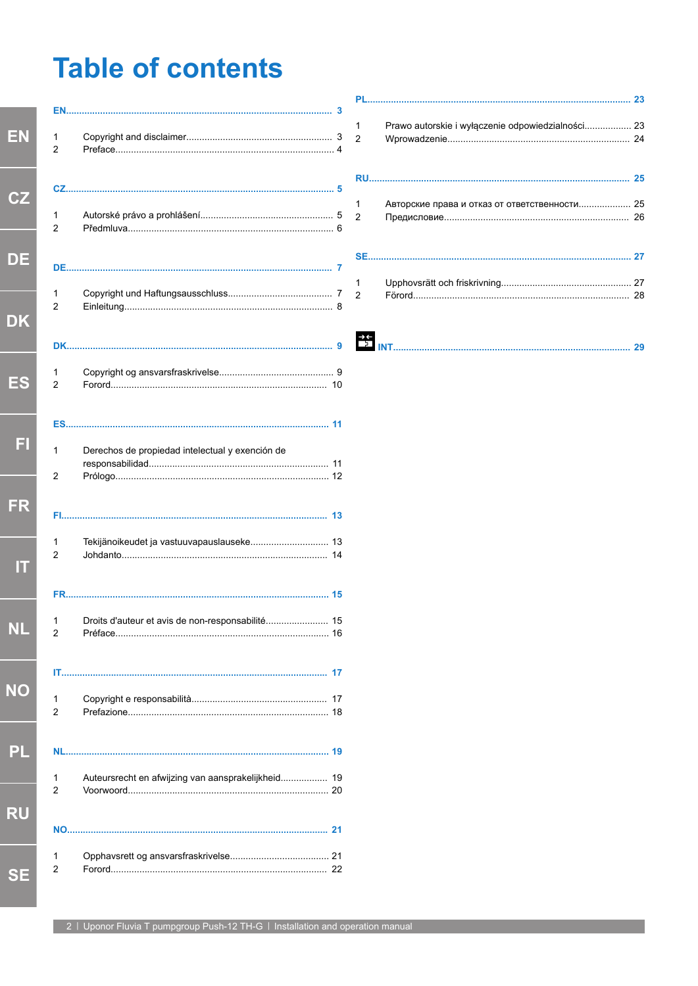## **Table of contents**

日

 $\mathbf C$ 

D

D

E

E

N

N<sub>C</sub>

F

R

S

| 1<br>$\overline{2}$ |                                                    |  |
|---------------------|----------------------------------------------------|--|
|                     |                                                    |  |
| 1<br>$\overline{2}$ |                                                    |  |
|                     |                                                    |  |
| 1<br>2              |                                                    |  |
|                     |                                                    |  |
| 1<br>2              |                                                    |  |
|                     |                                                    |  |
| 1                   | Derechos de propiedad intelectual y exención de    |  |
| 2                   |                                                    |  |
| 1                   | Tekijänoikeudet ja vastuuvapauslauseke 13          |  |
| 2                   |                                                    |  |
|                     |                                                    |  |
| 1<br>2              | Droits d'auteur et avis de non-responsabilité 15   |  |
|                     | $\mathbf{r}$ and $\mathbf{r}$                      |  |
| 1<br>$\overline{2}$ |                                                    |  |
|                     |                                                    |  |
| 1<br>2              | Auteursrecht en afwijzing van aansprakelijkheid 19 |  |
|                     |                                                    |  |
| 1<br>2              |                                                    |  |
|                     |                                                    |  |

| PI.         |                                                   | 23 |
|-------------|---------------------------------------------------|----|
| $\mathbf 1$ | Prawo autorskie i wyłączenie odpowiedzialności 23 |    |
| 2           |                                                   |    |
|             |                                                   | 25 |
|             |                                                   |    |
| 1           | Авторские права и отказ от ответственности 25     |    |
| 2           |                                                   |    |
|             |                                                   |    |
|             |                                                   |    |
| 1           |                                                   |    |
| ◠           | $\Box$                                            | റഠ |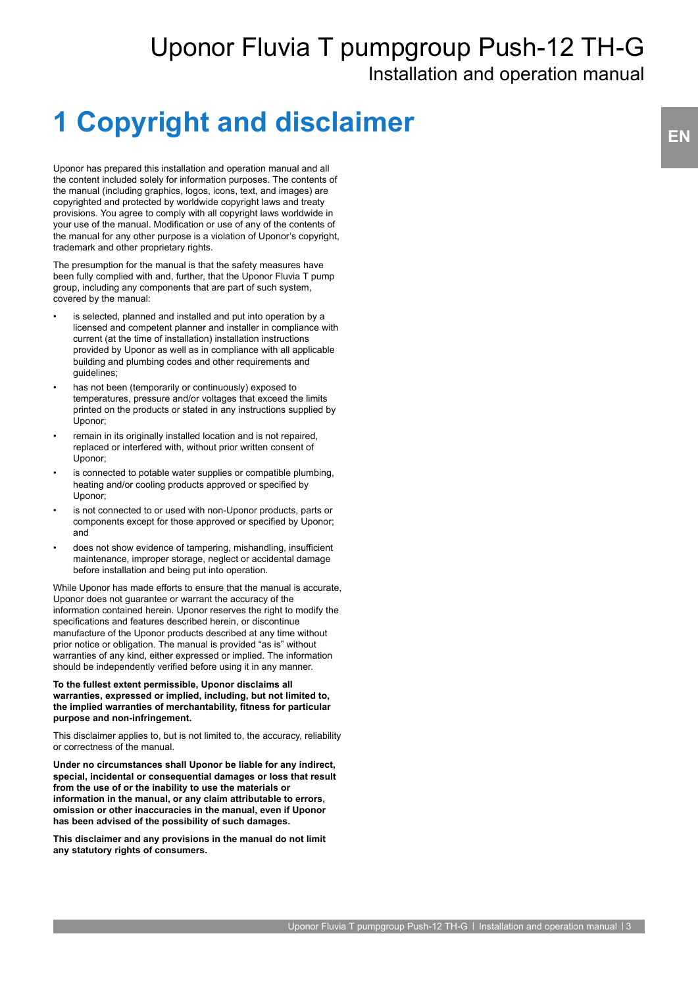## Uponor Fluvia T pumpgroup Push-12 TH-G

Installation and operation manual

## <span id="page-2-0"></span>**1 Copyright and disclaimer**

Uponor has prepared this installation and operation manual and all the content included solely for information purposes. The contents of the manual (including graphics, logos, icons, text, and images) are copyrighted and protected by worldwide copyright laws and treaty provisions. You agree to comply with all copyright laws worldwide in your use of the manual. Modification or use of any of the contents of the manual for any other purpose is a violation of Uponor's copyright, trademark and other proprietary rights.

The presumption for the manual is that the safety measures have been fully complied with and, further, that the Uponor Fluvia T pump group, including any components that are part of such system, covered by the manual:

- is selected, planned and installed and put into operation by a licensed and competent planner and installer in compliance with current (at the time of installation) installation instructions provided by Uponor as well as in compliance with all applicable building and plumbing codes and other requirements and guidelines;
- has not been (temporarily or continuously) exposed to temperatures, pressure and/or voltages that exceed the limits printed on the products or stated in any instructions supplied by Uponor;
- remain in its originally installed location and is not repaired, replaced or interfered with, without prior written consent of Uponor;
- is connected to potable water supplies or compatible plumbing, heating and/or cooling products approved or specified by Uponor;
- is not connected to or used with non-Uponor products, parts or components except for those approved or specified by Uponor; and
- does not show evidence of tampering, mishandling, insufficient maintenance, improper storage, neglect or accidental damage before installation and being put into operation.

While Uponor has made efforts to ensure that the manual is accurate, Uponor does not guarantee or warrant the accuracy of the information contained herein. Uponor reserves the right to modify the specifications and features described herein, or discontinue manufacture of the Uponor products described at any time without prior notice or obligation. The manual is provided "as is" without warranties of any kind, either expressed or implied. The information should be independently verified before using it in any manner.

#### **To the fullest extent permissible, Uponor disclaims all warranties, expressed or implied, including, but not limited to, the implied warranties of merchantability, fitness for particular purpose and non-infringement.**

This disclaimer applies to, but is not limited to, the accuracy, reliability or correctness of the manual.

**Under no circumstances shall Uponor be liable for any indirect, special, incidental or consequential damages or loss that result from the use of or the inability to use the materials or information in the manual, or any claim attributable to errors, omission or other inaccuracies in the manual, even if Uponor has been advised of the possibility of such damages.**

**This disclaimer and any provisions in the manual do not limit any statutory rights of consumers.**

**EN**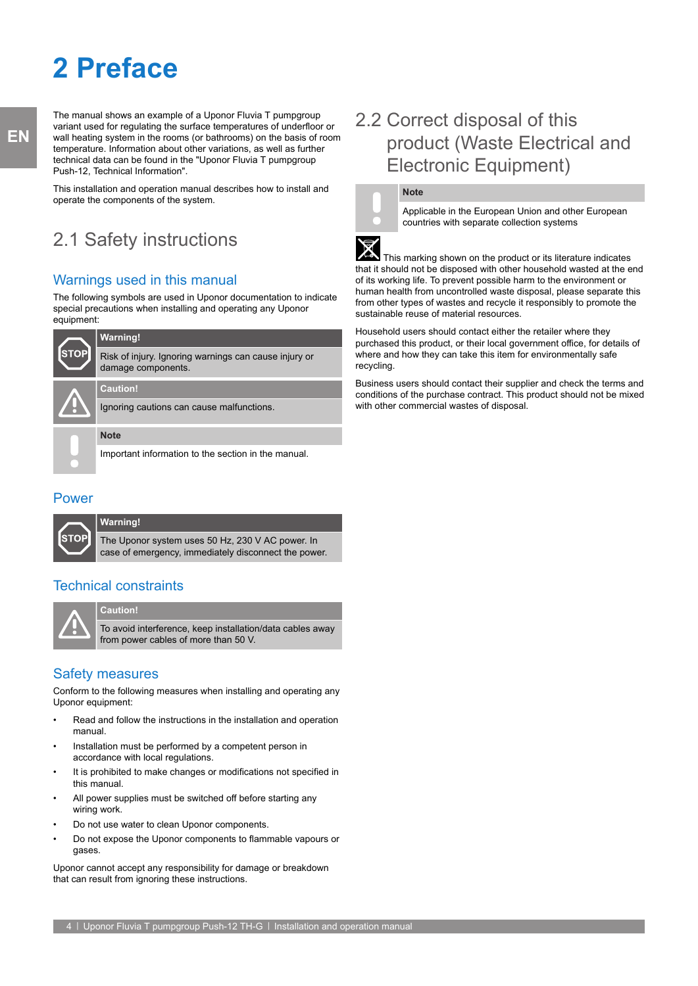## <span id="page-3-0"></span>**2 Preface**

The manual shows an example of a Uponor Fluvia T pumpgroup variant used for regulating the surface temperatures of underfloor or wall heating system in the rooms (or bathrooms) on the basis of room temperature. Information about other variations, as well as further technical data can be found in the "Uponor Fluvia T pumpgroup Push-12, Technical Information".

This installation and operation manual describes how to install and operate the components of the system.

## 2.1 Safety instructions

## Warnings used in this manual

The following symbols are used in Uponor documentation to indicate special precautions when installing and operating any Uponor equipment:

| STOP | <b>Warning!</b>                                                             |
|------|-----------------------------------------------------------------------------|
|      | Risk of injury. Ignoring warnings can cause injury or<br>damage components. |
|      | <b>Caution!</b>                                                             |
|      | Ignoring cautions can cause malfunctions.                                   |
|      | <b>Note</b>                                                                 |
|      | Important information to the section in the manual.                         |

### Power



## **Warning!**

The Uponor system uses 50 Hz, 230 V AC power. In case of emergency, immediately disconnect the power.

## Technical constraints



#### **Caution!**

To avoid interference, keep installation/data cables away from power cables of more than 50 V.

### Safety measures

Conform to the following measures when installing and operating any Uponor equipment:

- Read and follow the instructions in the installation and operation manual.
- Installation must be performed by a competent person in accordance with local regulations.
- It is prohibited to make changes or modifications not specified in this manual.
- All power supplies must be switched off before starting any wiring work.
- Do not use water to clean Uponor components.
- Do not expose the Uponor components to flammable vapours or gases.

Uponor cannot accept any responsibility for damage or breakdown that can result from ignoring these instructions.

## 2.2 Correct disposal of this product (Waste Electrical and Electronic Equipment)

### **Note**



Applicable in the European Union and other European countries with separate collection systems

 This marking shown on the product or its literature indicates that it should not be disposed with other household wasted at the end of its working life. To prevent possible harm to the environment or human health from uncontrolled waste disposal, please separate this from other types of wastes and recycle it responsibly to promote the sustainable reuse of material resources.

Household users should contact either the retailer where they purchased this product, or their local government office, for details of where and how they can take this item for environmentally safe recycling.

Business users should contact their supplier and check the terms and conditions of the purchase contract. This product should not be mixed with other commercial wastes of disposal.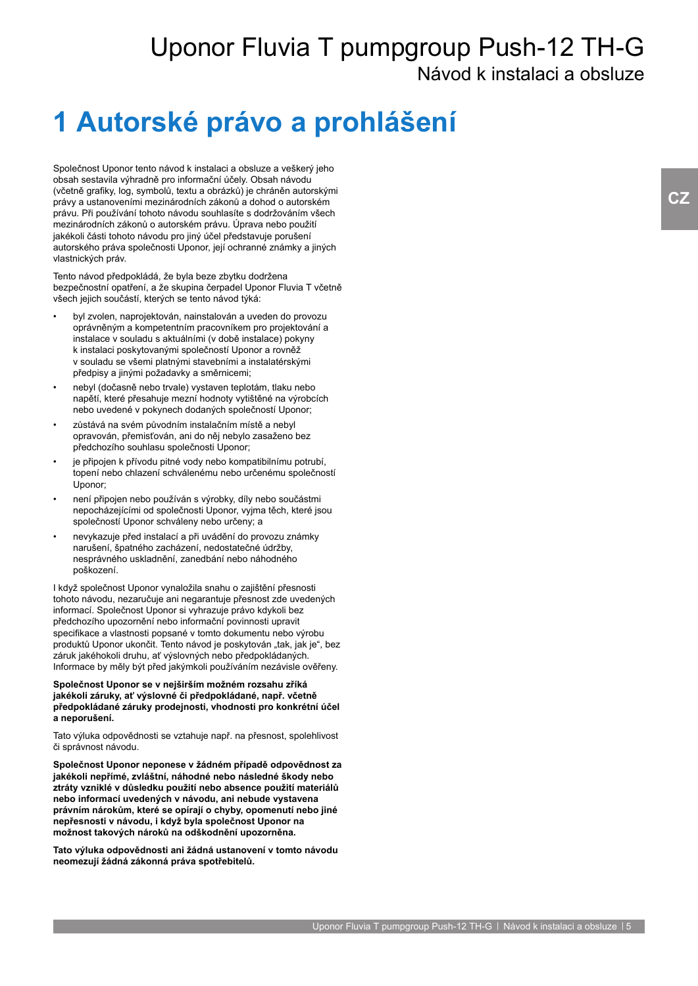## Uponor Fluvia T pumpgroup Push-12 TH-G

Návod k instalaci a obsluze

## <span id="page-4-0"></span>**1 Autorské právo a prohlášení**

Společnost Uponor tento návod k instalaci a obsluze a veškerý jeho obsah sestavila výhradně pro informační účely. Obsah návodu (včetně grafiky, log, symbolů, textu a obrázků) je chráněn autorskými právy a ustanoveními mezinárodních zákonů a dohod o autorském právu. Při používání tohoto návodu souhlasíte s dodržováním všech mezinárodních zákonů o autorském právu. Úprava nebo použití jakékoli části tohoto návodu pro jiný účel představuje porušení autorského práva společnosti Uponor, její ochranné známky a jiných vlastnických práv.

Tento návod předpokládá, že byla beze zbytku dodržena bezpečnostní opatření, a že skupina čerpadel Uponor Fluvia T včetně všech jejich součástí, kterých se tento návod týká:

- byl zvolen, naprojektován, nainstalován a uveden do provozu oprávněným a kompetentním pracovníkem pro projektování a instalace v souladu s aktuálními (v době instalace) pokyny k instalaci poskytovanými společností Uponor a rovněž v souladu se všemi platnými stavebními a instalatérskými předpisy a jinými požadavky a směrnicemi;
- nebyl (dočasně nebo trvale) vystaven teplotám, tlaku nebo napětí, které přesahuje mezní hodnoty vytištěné na výrobcích nebo uvedené v pokynech dodaných společností Uponor;
- zůstává na svém původním instalačním místě a nebyl opravován, přemisťován, ani do něj nebylo zasaženo bez předchozího souhlasu společnosti Uponor;
- je připojen k přívodu pitné vody nebo kompatibilnímu potrubí, topení nebo chlazení schválenému nebo určenému společností Uponor;
- není připojen nebo používán s výrobky, díly nebo součástmi nepocházejícími od společnosti Uponor, vyjma těch, které jsou společností Uponor schváleny nebo určeny; a
- nevykazuje před instalací a při uvádění do provozu známky narušení, špatného zacházení, nedostatečné údržby, nesprávného uskladnění, zanedbání nebo náhodného poškození.

I když společnost Uponor vynaložila snahu o zajištění přesnosti tohoto návodu, nezaručuje ani negarantuje přesnost zde uvedených informací. Společnost Uponor si vyhrazuje právo kdykoli bez předchozího upozornění nebo informační povinnosti upravit specifikace a vlastnosti popsané v tomto dokumentu nebo výrobu produktů Uponor ukončit. Tento návod je poskytován "tak, jak je", bez záruk jakéhokoli druhu, ať výslovných nebo předpokládaných. Informace by měly být před jakýmkoli používáním nezávisle ověřeny.

#### **Společnost Uponor se v nejširším možném rozsahu zříká jakékoli záruky, ať výslovné či předpokládané, např. včetně předpokládané záruky prodejnosti, vhodnosti pro konkrétní účel a neporušení.**

Tato výluka odpovědnosti se vztahuje např. na přesnost, spolehlivost či správnost návodu.

**Společnost Uponor neponese v žádném případě odpovědnost za jakékoli nepřímé, zvláštní, náhodné nebo následné škody nebo ztráty vzniklé v důsledku použití nebo absence použití materiálů nebo informací uvedených v návodu, ani nebude vystavena právním nárokům, které se opírají o chyby, opomenutí nebo jiné nepřesnosti v návodu, i když byla společnost Uponor na možnost takových nároků na odškodnění upozorněna.**

**Tato výluka odpovědnosti ani žádná ustanovení v tomto návodu neomezují žádná zákonná práva spotřebitelů.**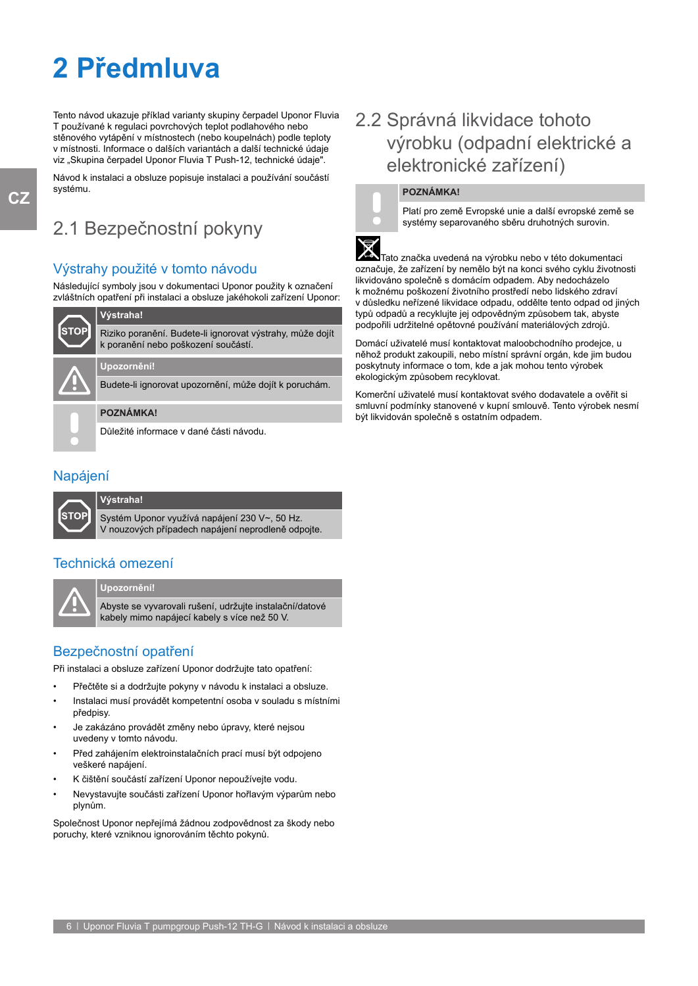## <span id="page-5-0"></span>**2 Předmluva**

Tento návod ukazuje příklad varianty skupiny čerpadel Uponor Fluvia T používané k regulaci povrchových teplot podlahového nebo stěnového vytápění v místnostech (nebo koupelnách) podle teploty v místnosti. Informace o dalších variantách a další technické údaje viz "Skupina čerpadel Uponor Fluvia T Push-12, technické údaje".

Návod k instalaci a obsluze popisuje instalaci a používání součástí systému.

## 2.1 Bezpečnostní pokyny

## Výstrahy použité v tomto návodu

Následující symboly jsou v dokumentaci Uponor použity k označení zvláštních opatření při instalaci a obsluze jakéhokoli zařízení Uponor:



Riziko poranění. Budete-li ignorovat výstrahy, může dojít k poranění nebo poškození součástí.

**Upozornění!**

**Výstraha!**

Budete-li ignorovat upozornění, může dojít k poruchám.

### **POZNÁMKA!**

Důležité informace v dané části návodu.

## Napájení



### **Výstraha!**

Systém Uponor využívá napájení 230 V~, 50 Hz. V nouzových případech napájení neprodleně odpojte.

## Technická omezení



### **Upozornění!**

Abyste se vyvarovali rušení, udržujte instalační/datové kabely mimo napájecí kabely s více než 50 V.

## Bezpečnostní opatření

Při instalaci a obsluze zařízení Uponor dodržujte tato opatření:

- Přečtěte si a dodržujte pokyny v návodu k instalaci a obsluze.
- Instalaci musí provádět kompetentní osoba v souladu s místními předpisy.
- Je zakázáno provádět změny nebo úpravy, které nejsou uvedeny v tomto návodu.
- Před zahájením elektroinstalačních prací musí být odpojeno veškeré napájení.
- K čištění součástí zařízení Uponor nepoužívejte vodu.
- Nevystavujte součásti zařízení Uponor hořlavým výparům nebo plynům.

Společnost Uponor nepřejímá žádnou zodpovědnost za škody nebo poruchy, které vzniknou ignorováním těchto pokynů.

## 2.2 Správná likvidace tohoto výrobku (odpadní elektrické a elektronické zařízení)

### **POZNÁMKA!**



Platí pro země Evropské unie a další evropské země se systémy separovaného sběru druhotných surovin.

Tato značka uvedená na výrobku nebo v této dokumentaci označuje, že zařízení by nemělo být na konci svého cyklu životnosti likvidováno společně s domácím odpadem. Aby nedocházelo k možnému poškození životního prostředí nebo lidského zdraví v důsledku neřízené likvidace odpadu, oddělte tento odpad od jiných typů odpadů a recyklujte jej odpovědným způsobem tak, abyste podpořili udržitelné opětovné používání materiálových zdrojů.

Domácí uživatelé musí kontaktovat maloobchodního prodejce, u něhož produkt zakoupili, nebo místní správní orgán, kde jim budou poskytnuty informace o tom, kde a jak mohou tento výrobek ekologickým způsobem recyklovat.

Komerční uživatelé musí kontaktovat svého dodavatele a ověřit si smluvní podmínky stanovené v kupní smlouvě. Tento výrobek nesmí být likvidován společně s ostatním odpadem.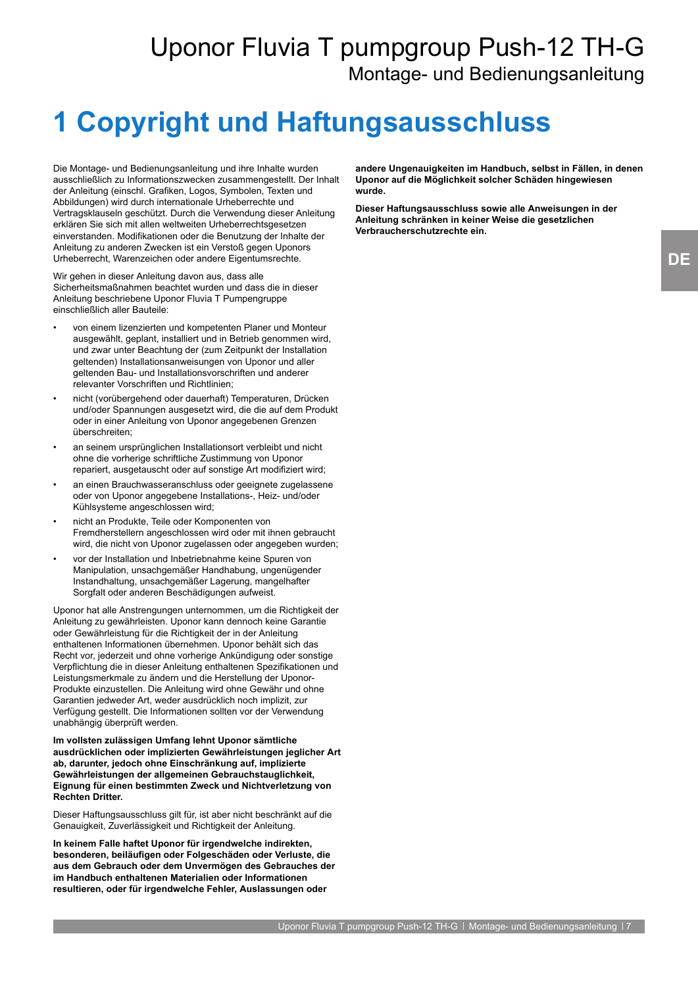## Uponor Fluvia T pumpgroup Push-12 TH-G Montage- und Bedienungsanleitung

## <span id="page-6-0"></span>**1 Copyright und Haftungsausschluss**

Die Montage- und Bedienungsanleitung und ihre Inhalte wurden ausschließlich zu Informationszwecken zusammengestellt. Der Inhalt der Anleitung (einschl. Grafiken, Logos, Symbolen, Texten und Abbildungen) wird durch internationale Urheberrechte und Vertragsklauseln geschützt. Durch die Verwendung dieser Anleitung erklären Sie sich mit allen weltweiten Urheberrechtsgesetzen einverstanden. Modifikationen oder die Benutzung der Inhalte der Anleitung zu anderen Zwecken ist ein Verstoß gegen Uponors Urheberrecht, Warenzeichen oder andere Eigentumsrechte.

Wir gehen in dieser Anleitung davon aus, dass alle Sicherheitsmaßnahmen beachtet wurden und dass die in dieser Anleitung beschriebene Uponor Fluvia T Pumpengruppe einschließlich aller Bauteile:

- von einem lizenzierten und kompetenten Planer und Monteur ausgewählt, geplant, installiert und in Betrieb genommen wird, und zwar unter Beachtung der (zum Zeitpunkt der Installation geltenden) Installationsanweisungen von Uponor und aller geltenden Bau- und Installationsvorschriften und anderer relevanter Vorschriften und Richtlinien;
- nicht (vorübergehend oder dauerhaft) Temperaturen, Drücken und/oder Spannungen ausgesetzt wird, die die auf dem Produkt oder in einer Anleitung von Uponor angegebenen Grenzen überschreiten;
- an seinem ursprünglichen Installationsort verbleibt und nicht ohne die vorherige schriftliche Zustimmung von Uponor repariert, ausgetauscht oder auf sonstige Art modifiziert wird;
- an einen Brauchwasseranschluss oder geeignete zugelassene oder von Uponor angegebene Installations-, Heiz- und/oder Kühlsysteme angeschlossen wird;
- nicht an Produkte, Teile oder Komponenten von Fremdherstellern angeschlossen wird oder mit ihnen gebraucht wird, die nicht von Uponor zugelassen oder angegeben wurden;
- vor der Installation und Inbetriebnahme keine Spuren von Manipulation, unsachgemäßer Handhabung, ungenügender Instandhaltung, unsachgemäßer Lagerung, mangelhafter Sorgfalt oder anderen Beschädigungen aufweist.

Uponor hat alle Anstrengungen unternommen, um die Richtigkeit der Anleitung zu gewährleisten. Uponor kann dennoch keine Garantie oder Gewährleistung für die Richtigkeit der in der Anleitung enthaltenen Informationen übernehmen. Uponor behält sich das Recht vor, jederzeit und ohne vorherige Ankündigung oder sonstige Verpflichtung die in dieser Anleitung enthaltenen Spezifikationen und Leistungsmerkmale zu ändern und die Herstellung der Uponor-Produkte einzustellen. Die Anleitung wird ohne Gewähr und ohne Garantien jedweder Art, weder ausdrücklich noch implizit, zur Verfügung gestellt. Die Informationen sollten vor der Verwendung unabhängig überprüft werden.

**Im vollsten zulässigen Umfang lehnt Uponor sämtliche ausdrücklichen oder implizierten Gewährleistungen jeglicher Art ab, darunter, jedoch ohne Einschränkung auf, implizierte Gewährleistungen der allgemeinen Gebrauchstauglichkeit, Eignung für einen bestimmten Zweck und Nichtverletzung von Rechten Dritter.**

Dieser Haftungsausschluss gilt für, ist aber nicht beschränkt auf die Genauigkeit, Zuverlässigkeit und Richtigkeit der Anleitung.

**In keinem Falle haftet Uponor für irgendwelche indirekten, besonderen, beiläufigen oder Folgeschäden oder Verluste, die aus dem Gebrauch oder dem Unvermögen des Gebrauches der im Handbuch enthaltenen Materialien oder Informationen resultieren, oder für irgendwelche Fehler, Auslassungen oder**

**andere Ungenauigkeiten im Handbuch, selbst in Fällen, in denen Uponor auf die Möglichkeit solcher Schäden hingewiesen wurde.**

**Dieser Haftungsausschluss sowie alle Anweisungen in der Anleitung schränken in keiner Weise die gesetzlichen Verbraucherschutzrechte ein.**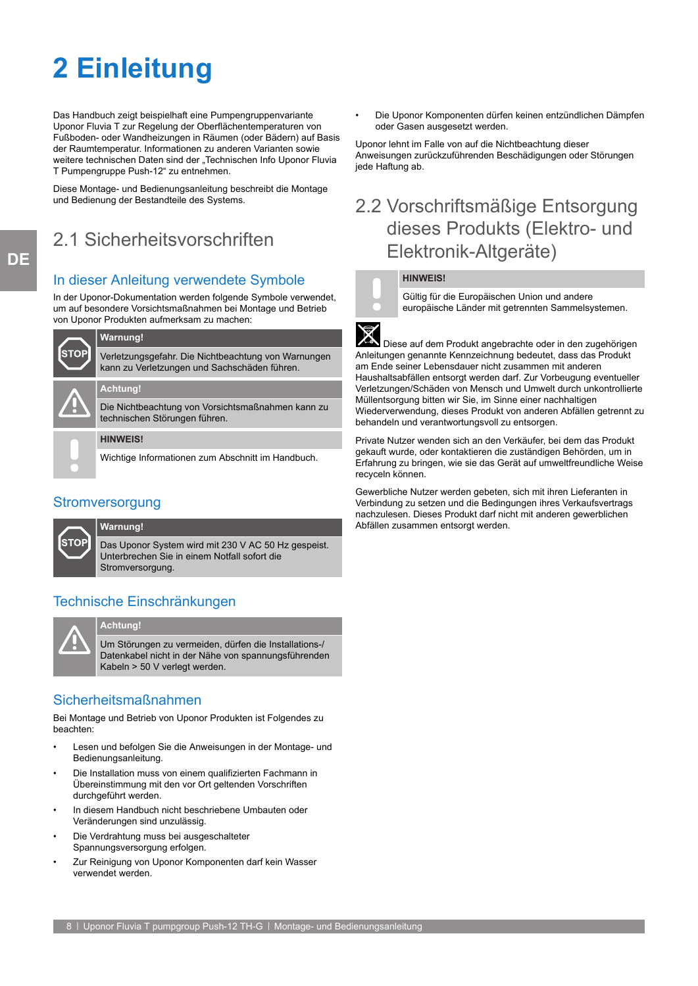## <span id="page-7-0"></span>**2 Einleitung**

Das Handbuch zeigt beispielhaft eine Pumpengruppenvariante Uponor Fluvia T zur Regelung der Oberflächentemperaturen von Fußboden- oder Wandheizungen in Räumen (oder Bädern) auf Basis der Raumtemperatur. Informationen zu anderen Varianten sowie weitere technischen Daten sind der "Technischen Info Uponor Fluvia T Pumpengruppe Push-12" zu entnehmen.

Diese Montage- und Bedienungsanleitung beschreibt die Montage und Bedienung der Bestandteile des Systems.

## 2.1 Sicherheitsvorschriften

### In dieser Anleitung verwendete Symbole

In der Uponor-Dokumentation werden folgende Symbole verwendet, um auf besondere Vorsichtsmaßnahmen bei Montage und Betrieb von Uponor Produkten aufmerksam zu machen:

| <b>STOP</b>  | <b>Warnung!</b>                                                                                     |
|--------------|-----------------------------------------------------------------------------------------------------|
|              | Verletzungsgefahr. Die Nichtbeachtung von Warnungen<br>kann zu Verletzungen und Sachschäden führen. |
| $\mathbf{r}$ | Achtung!                                                                                            |
|              | Die Nichtbeachtung von Vorsichtsmaßnahmen kann zu<br>technischen Störungen führen.                  |
|              | <b>HINWEIS!</b>                                                                                     |
|              | Wichtige Informationen zum Abschnitt im Handbuch.                                                   |
|              |                                                                                                     |

## **Stromversorgung**



#### **Warnung!**

Das Uponor System wird mit 230 V AC 50 Hz gespeist. Unterbrechen Sie in einem Notfall sofort die Stromversorgung.

## Technische Einschränkungen



**Achtung!**

Um Störungen zu vermeiden, dürfen die Installations-/ Datenkabel nicht in der Nähe von spannungsführenden Kabeln > 50 V verlegt werden.

### Sicherheitsmaßnahmen

Bei Montage und Betrieb von Uponor Produkten ist Folgendes zu beachten:

- Lesen und befolgen Sie die Anweisungen in der Montage- und Bedienungsanleitung.
- Die Installation muss von einem qualifizierten Fachmann in Übereinstimmung mit den vor Ort geltenden Vorschriften durchgeführt werden.
- In diesem Handbuch nicht beschriebene Umbauten oder Veränderungen sind unzulässig.
- Die Verdrahtung muss bei ausgeschalteter Spannungsversorgung erfolgen.
- Zur Reinigung von Uponor Komponenten darf kein Wasser verwendet werden.

• Die Uponor Komponenten dürfen keinen entzündlichen Dämpfen oder Gasen ausgesetzt werden.

Uponor lehnt im Falle von auf die Nichtbeachtung dieser Anweisungen zurückzuführenden Beschädigungen oder Störungen jede Haftung ab.

## 2.2 Vorschriftsmäßige Entsorgung dieses Produkts (Elektro- und Elektronik-Altgeräte)

### **HINWEIS!**

Gültig für die Europäischen Union und andere europäische Länder mit getrennten Sammelsystemen.



 Diese auf dem Produkt angebrachte oder in den zugehörigen Anleitungen genannte Kennzeichnung bedeutet, dass das Produkt am Ende seiner Lebensdauer nicht zusammen mit anderen Haushaltsabfällen entsorgt werden darf. Zur Vorbeugung eventueller Verletzungen/Schäden von Mensch und Umwelt durch unkontrollierte Müllentsorgung bitten wir Sie, im Sinne einer nachhaltigen Wiederverwendung, dieses Produkt von anderen Abfällen getrennt zu behandeln und verantwortungsvoll zu entsorgen.

Private Nutzer wenden sich an den Verkäufer, bei dem das Produkt gekauft wurde, oder kontaktieren die zuständigen Behörden, um in Erfahrung zu bringen, wie sie das Gerät auf umweltfreundliche Weise recyceln können.

Gewerbliche Nutzer werden gebeten, sich mit ihren Lieferanten in Verbindung zu setzen und die Bedingungen ihres Verkaufsvertrags nachzulesen. Dieses Produkt darf nicht mit anderen gewerblichen Abfällen zusammen entsorgt werden.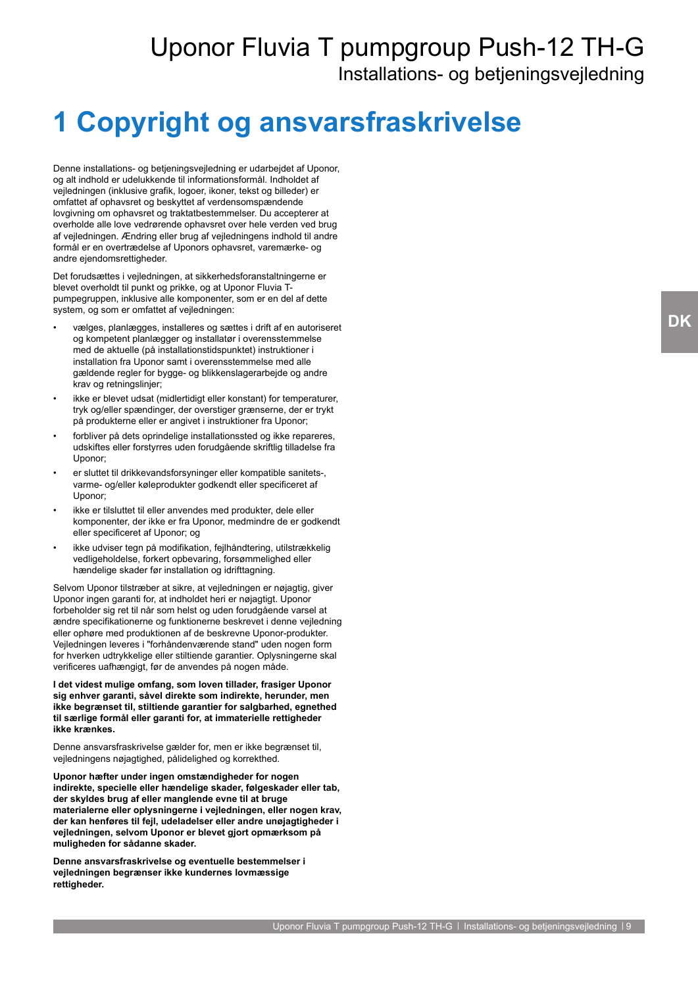## Uponor Fluvia T pumpgroup Push-12 TH-G Installations- og betjeningsvejledning

## <span id="page-8-0"></span>**1 Copyright og ansvarsfraskrivelse**

Denne installations- og betjeningsvejledning er udarbejdet af Uponor, og alt indhold er udelukkende til informationsformål. Indholdet af vejledningen (inklusive grafik, logoer, ikoner, tekst og billeder) er omfattet af ophavsret og beskyttet af verdensomspændende lovgivning om ophavsret og traktatbestemmelser. Du accepterer at overholde alle love vedrørende ophavsret over hele verden ved brug af vejledningen. Ændring eller brug af vejledningens indhold til andre formål er en overtrædelse af Uponors ophavsret, varemærke- og andre ejendomsrettigheder.

Det forudsættes i vejledningen, at sikkerhedsforanstaltningerne er blevet overholdt til punkt og prikke, og at Uponor Fluvia Tpumpegruppen, inklusive alle komponenter, som er en del af dette system, og som er omfattet af vejledningen:

- vælges, planlægges, installeres og sættes i drift af en autoriseret og kompetent planlægger og installatør i overensstemmelse med de aktuelle (på installationstidspunktet) instruktioner i installation fra Uponor samt i overensstemmelse med alle gældende regler for bygge- og blikkenslagerarbejde og andre krav og retningslinjer;
- ikke er blevet udsat (midlertidigt eller konstant) for temperaturer, tryk og/eller spændinger, der overstiger grænserne, der er trykt på produkterne eller er angivet i instruktioner fra Uponor;
- forbliver på dets oprindelige installationssted og ikke repareres, udskiftes eller forstyrres uden forudgående skriftlig tilladelse fra Uponor;
- er sluttet til drikkevandsforsyninger eller kompatible sanitets-, varme- og/eller køleprodukter godkendt eller specificeret af Uponor;
- ikke er tilsluttet til eller anvendes med produkter, dele eller komponenter, der ikke er fra Uponor, medmindre de er godkendt eller specificeret af Uponor; og
- ikke udviser tegn på modifikation, fejlhåndtering, utilstrækkelig vedligeholdelse, forkert opbevaring, forsømmelighed eller hændelige skader før installation og idrifttagning.

Selvom Uponor tilstræber at sikre, at vejledningen er nøjagtig, giver Uponor ingen garanti for, at indholdet heri er nøjagtigt. Uponor forbeholder sig ret til når som helst og uden forudgående varsel at ændre specifikationerne og funktionerne beskrevet i denne vejledning eller ophøre med produktionen af de beskrevne Uponor-produkter. Vejledningen leveres i "forhåndenværende stand" uden nogen form for hverken udtrykkelige eller stiltiende garantier. Oplysningerne skal verificeres uafhængigt, før de anvendes på nogen måde.

**I det videst mulige omfang, som loven tillader, frasiger Uponor sig enhver garanti, såvel direkte som indirekte, herunder, men ikke begrænset til, stiltiende garantier for salgbarhed, egnethed til særlige formål eller garanti for, at immaterielle rettigheder ikke krænkes.**

Denne ansvarsfraskrivelse gælder for, men er ikke begrænset til, vejledningens nøjagtighed, pålidelighed og korrekthed.

**Uponor hæfter under ingen omstændigheder for nogen indirekte, specielle eller hændelige skader, følgeskader eller tab, der skyldes brug af eller manglende evne til at bruge materialerne eller oplysningerne i vejledningen, eller nogen krav, der kan henføres til fejl, udeladelser eller andre unøjagtigheder i vejledningen, selvom Uponor er blevet gjort opmærksom på muligheden for sådanne skader.**

**Denne ansvarsfraskrivelse og eventuelle bestemmelser i vejledningen begrænser ikke kundernes lovmæssige rettigheder.**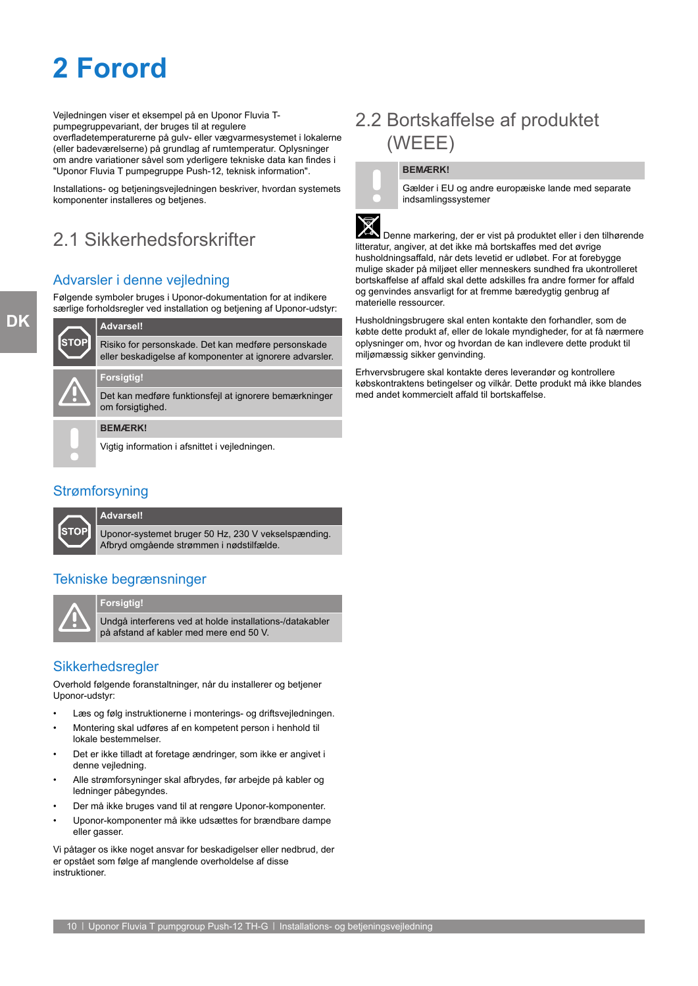## <span id="page-9-0"></span>**2 Forord**

Vejledningen viser et eksempel på en Uponor Fluvia Tpumpegruppevariant, der bruges til at regulere

overfladetemperaturerne på gulv- eller vægvarmesystemet i lokalerne (eller badeværelserne) på grundlag af rumtemperatur. Oplysninger om andre variationer såvel som yderligere tekniske data kan findes i "Uponor Fluvia T pumpegruppe Push-12, teknisk information".

Installations- og betjeningsvejledningen beskriver, hvordan systemets komponenter installeres og betjenes.

## 2.1 Sikkerhedsforskrifter

## Advarsler i denne vejledning

Følgende symboler bruges i Uponor-dokumentation for at indikere særlige forholdsregler ved installation og betjening af Uponor-udstyr:



### **Advarsel!**

Risiko for personskade. Det kan medføre personskade eller beskadigelse af komponenter at ignorere advarsler.

**Forsigtig!**

Det kan medføre funktionsfejl at ignorere bemærkninger om forsigtighed.

### **BEMÆRK!**

Vigtig information i afsnittet i vejledningen.

## **Strømforsyning**



**STOP** 

#### **Advarsel!**

Uponor-systemet bruger 50 Hz, 230 V vekselspænding. Afbryd omgående strømmen i nødstilfælde.

## Tekniske begrænsninger



### **Forsigtig!**

Undgå interferens ved at holde installations-/datakabler på afstand af kabler med mere end 50 V.

## **Sikkerhedsregler**

Overhold følgende foranstaltninger, når du installerer og betjener Uponor-udstyr:

- Læs og følg instruktionerne i monterings- og driftsvejledningen.
- Montering skal udføres af en kompetent person i henhold til lokale bestemmelser.
- Det er ikke tilladt at foretage ændringer, som ikke er angivet i denne vejledning.
- Alle strømforsyninger skal afbrydes, før arbejde på kabler og ledninger påbegyndes.
- Der må ikke bruges vand til at rengøre Uponor-komponenter.
- Uponor-komponenter må ikke udsættes for brændbare dampe eller gasser.

Vi påtager os ikke noget ansvar for beskadigelser eller nedbrud, der er opstået som følge af manglende overholdelse af disse instruktioner.

## 2.2 Bortskaffelse af produktet (WEEE)

### **BEMÆRK!**



Gælder i EU og andre europæiske lande med separate indsamlingssystemer

 Denne markering, der er vist på produktet eller i den tilhørende litteratur, angiver, at det ikke må bortskaffes med det øvrige husholdningsaffald, når dets levetid er udløbet. For at forebygge mulige skader på miljøet eller menneskers sundhed fra ukontrolleret bortskaffelse af affald skal dette adskilles fra andre former for affald og genvindes ansvarligt for at fremme bæredygtig genbrug af materielle ressourcer.

Husholdningsbrugere skal enten kontakte den forhandler, som de købte dette produkt af, eller de lokale myndigheder, for at få nærmere oplysninger om, hvor og hvordan de kan indlevere dette produkt til miljømæssig sikker genvinding.

Erhvervsbrugere skal kontakte deres leverandør og kontrollere købskontraktens betingelser og vilkår. Dette produkt må ikke blandes med andet kommercielt affald til bortskaffelse.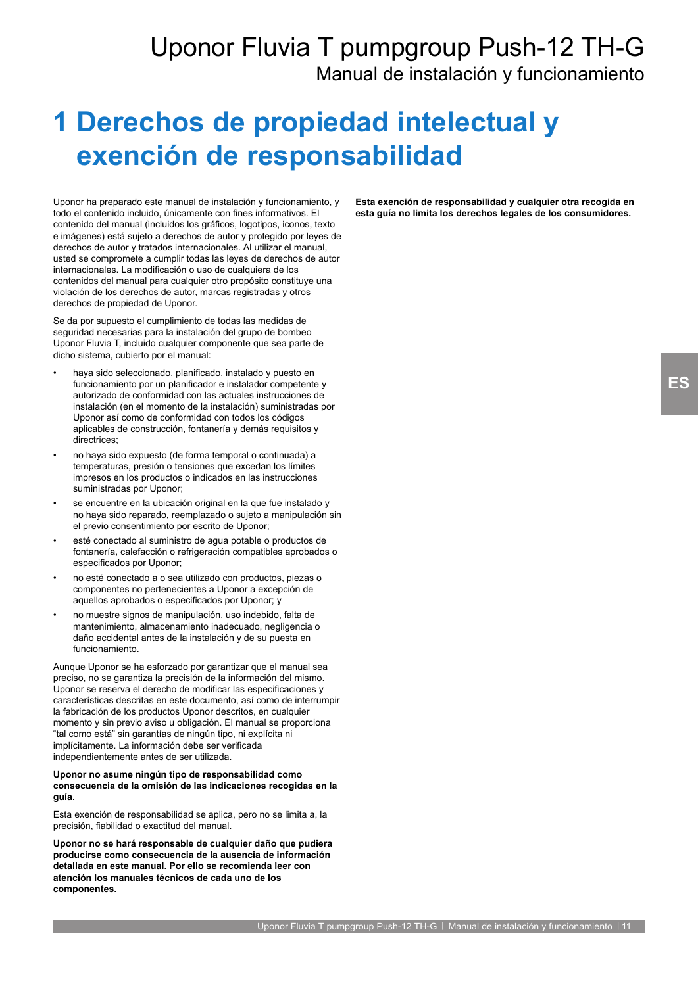## Uponor Fluvia T pumpgroup Push-12 TH-G Manual de instalación y funcionamiento

## <span id="page-10-0"></span>**1 Derechos de propiedad intelectual y exención de responsabilidad**

Uponor ha preparado este manual de instalación y funcionamiento, y todo el contenido incluido, únicamente con fines informativos. El contenido del manual (incluidos los gráficos, logotipos, iconos, texto e imágenes) está sujeto a derechos de autor y protegido por leyes de derechos de autor y tratados internacionales. Al utilizar el manual, usted se compromete a cumplir todas las leyes de derechos de autor internacionales. La modificación o uso de cualquiera de los contenidos del manual para cualquier otro propósito constituye una violación de los derechos de autor, marcas registradas y otros derechos de propiedad de Uponor.

Se da por supuesto el cumplimiento de todas las medidas de seguridad necesarias para la instalación del grupo de bombeo Uponor Fluvia T, incluido cualquier componente que sea parte de dicho sistema, cubierto por el manual:

- haya sido seleccionado, planificado, instalado y puesto en funcionamiento por un planificador e instalador competente y autorizado de conformidad con las actuales instrucciones de instalación (en el momento de la instalación) suministradas por Uponor así como de conformidad con todos los códigos aplicables de construcción, fontanería y demás requisitos y directrices;
- no haya sido expuesto (de forma temporal o continuada) a temperaturas, presión o tensiones que excedan los límites impresos en los productos o indicados en las instrucciones suministradas por Uponor;
- se encuentre en la ubicación original en la que fue instalado y no haya sido reparado, reemplazado o sujeto a manipulación sin el previo consentimiento por escrito de Uponor;
- esté conectado al suministro de agua potable o productos de fontanería, calefacción o refrigeración compatibles aprobados o especificados por Uponor;
- no esté conectado a o sea utilizado con productos, piezas o componentes no pertenecientes a Uponor a excepción de aquellos aprobados o especificados por Uponor; y
- no muestre signos de manipulación, uso indebido, falta de mantenimiento, almacenamiento inadecuado, negligencia o daño accidental antes de la instalación y de su puesta en funcionamiento.

Aunque Uponor se ha esforzado por garantizar que el manual sea preciso, no se garantiza la precisión de la información del mismo. Uponor se reserva el derecho de modificar las especificaciones y características descritas en este documento, así como de interrumpir la fabricación de los productos Uponor descritos, en cualquier momento y sin previo aviso u obligación. El manual se proporciona "tal como está" sin garantías de ningún tipo, ni explícita ni implícitamente. La información debe ser verificada independientemente antes de ser utilizada.

#### **Uponor no asume ningún tipo de responsabilidad como consecuencia de la omisión de las indicaciones recogidas en la guía.**

Esta exención de responsabilidad se aplica, pero no se limita a, la precisión, fiabilidad o exactitud del manual.

**Uponor no se hará responsable de cualquier daño que pudiera producirse como consecuencia de la ausencia de información detallada en este manual. Por ello se recomienda leer con atención los manuales técnicos de cada uno de los componentes.**

**Esta exención de responsabilidad y cualquier otra recogida en esta guía no limita los derechos legales de los consumidores.**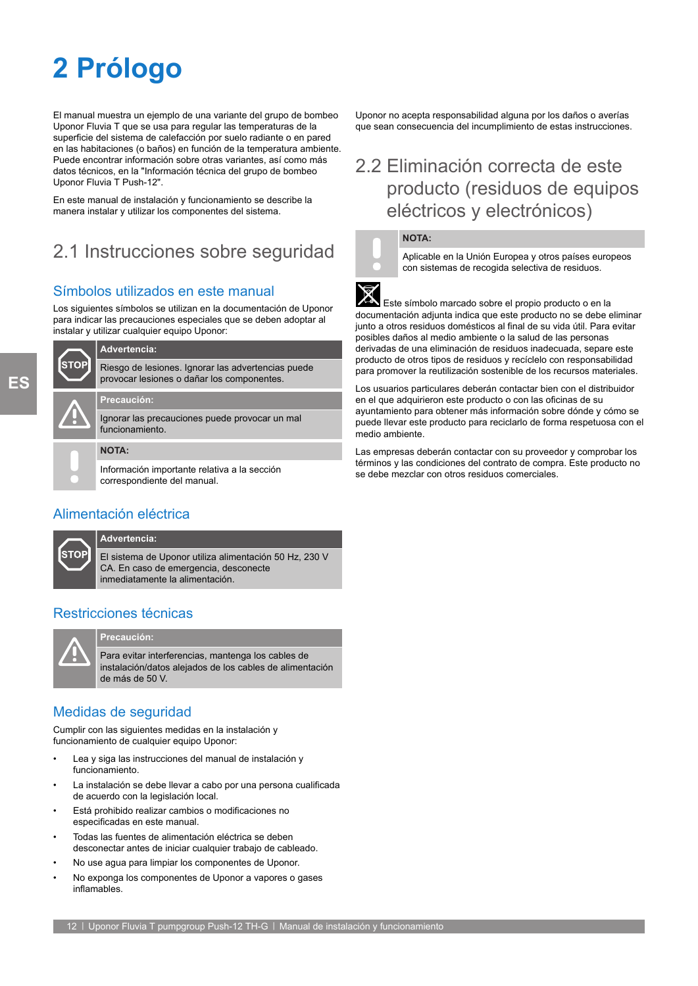## <span id="page-11-0"></span>**2 Prólogo**

El manual muestra un ejemplo de una variante del grupo de bombeo Uponor Fluvia T que se usa para regular las temperaturas de la superficie del sistema de calefacción por suelo radiante o en pared en las habitaciones (o baños) en función de la temperatura ambiente. Puede encontrar información sobre otras variantes, así como más datos técnicos, en la "Información técnica del grupo de bombeo Uponor Fluvia T Push-12".

En este manual de instalación y funcionamiento se describe la manera instalar y utilizar los componentes del sistema.

## 2.1 Instrucciones sobre seguridad

## Símbolos utilizados en este manual

Los siguientes símbolos se utilizan en la documentación de Uponor para indicar las precauciones especiales que se deben adoptar al instalar y utilizar cualquier equipo Uponor:

| _<br>$\overline{\phantom{a}}$<br>_ |  |
|------------------------------------|--|

#### **Advertencia:**

**STOP** 

Riesgo de lesiones. Ignorar las advertencias puede provocar lesiones o dañar los componentes.

#### **Precaución:**

Ignorar las precauciones puede provocar un mal funcionamiento.

#### **NOTA:**

Información importante relativa a la sección correspondiente del manual.

### Alimentación eléctrica



#### **Advertencia:**

El sistema de Uponor utiliza alimentación 50 Hz, 230 V CA. En caso de emergencia, desconecte inmediatamente la alimentación.

## Restricciones técnicas



## **Precaución:**

Para evitar interferencias, mantenga los cables de instalación/datos alejados de los cables de alimentación de más de 50 V.

### Medidas de seguridad

Cumplir con las siguientes medidas en la instalación y funcionamiento de cualquier equipo Uponor:

- Lea y siga las instrucciones del manual de instalación y funcionamiento.
- La instalación se debe llevar a cabo por una persona cualificada de acuerdo con la legislación local.
- Está prohibido realizar cambios o modificaciones no especificadas en este manual.
- Todas las fuentes de alimentación eléctrica se deben desconectar antes de iniciar cualquier trabajo de cableado.
- No use agua para limpiar los componentes de Uponor.
- No exponga los componentes de Uponor a vapores o gases inflamables.

Uponor no acepta responsabilidad alguna por los daños o averías que sean consecuencia del incumplimiento de estas instrucciones.

## 2.2 Eliminación correcta de este producto (residuos de equipos eléctricos y electrónicos)



Aplicable en la Unión Europea y otros países europeos con sistemas de recogida selectiva de residuos.

 Este símbolo marcado sobre el propio producto o en la documentación adjunta indica que este producto no se debe eliminar junto a otros residuos domésticos al final de su vida útil. Para evitar posibles daños al medio ambiente o la salud de las personas derivadas de una eliminación de residuos inadecuada, separe este producto de otros tipos de residuos y recíclelo con responsabilidad para promover la reutilización sostenible de los recursos materiales.

Los usuarios particulares deberán contactar bien con el distribuidor en el que adquirieron este producto o con las oficinas de su ayuntamiento para obtener más información sobre dónde y cómo se puede llevar este producto para reciclarlo de forma respetuosa con el medio ambiente.

Las empresas deberán contactar con su proveedor y comprobar los términos y las condiciones del contrato de compra. Este producto no se debe mezclar con otros residuos comerciales.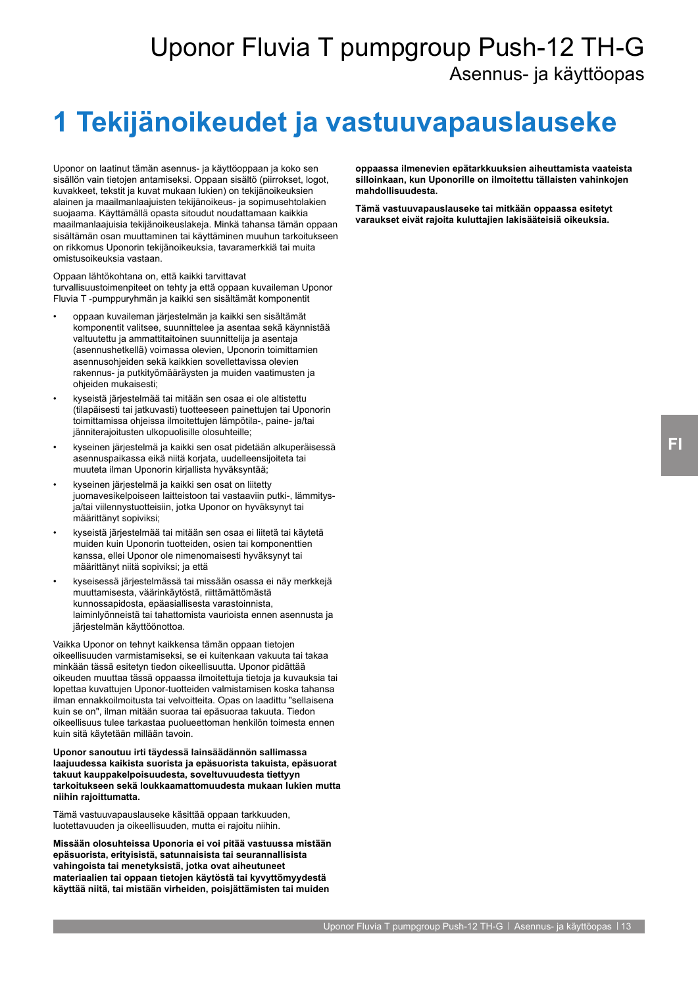## Uponor Fluvia T pumpgroup Push-12 TH-G Asennus- ja käyttöopas

## <span id="page-12-0"></span>**1 Tekijänoikeudet ja vastuuvapauslauseke**

Uponor on laatinut tämän asennus- ja käyttöoppaan ja koko sen sisällön vain tietojen antamiseksi. Oppaan sisältö (piirrokset, logot, kuvakkeet, tekstit ja kuvat mukaan lukien) on tekijänoikeuksien alainen ja maailmanlaajuisten tekijänoikeus- ja sopimusehtolakien suojaama. Käyttämällä opasta sitoudut noudattamaan kaikkia maailmanlaajuisia tekijänoikeuslakeja. Minkä tahansa tämän oppaan sisältämän osan muuttaminen tai käyttäminen muuhun tarkoitukseen on rikkomus Uponorin tekijänoikeuksia, tavaramerkkiä tai muita omistusoikeuksia vastaan.

Oppaan lähtökohtana on, että kaikki tarvittavat turvallisuustoimenpiteet on tehty ja että oppaan kuvaileman Uponor Fluvia T ‑pumppuryhmän ja kaikki sen sisältämät komponentit

- oppaan kuvaileman järjestelmän ja kaikki sen sisältämät komponentit valitsee, suunnittelee ja asentaa sekä käynnistää valtuutettu ja ammattitaitoinen suunnittelija ja asentaja (asennushetkellä) voimassa olevien, Uponorin toimittamien asennusohjeiden sekä kaikkien sovellettavissa olevien rakennus- ja putkityömääräysten ja muiden vaatimusten ja ohjeiden mukaisesti;
- kyseistä järjestelmää tai mitään sen osaa ei ole altistettu (tilapäisesti tai jatkuvasti) tuotteeseen painettujen tai Uponorin toimittamissa ohjeissa ilmoitettujen lämpötila-, paine- ja/tai jänniterajoitusten ulkopuolisille olosuhteille;
- kyseinen järjestelmä ja kaikki sen osat pidetään alkuperäisessä asennuspaikassa eikä niitä korjata, uudelleensijoiteta tai muuteta ilman Uponorin kirjallista hyväksyntää;
- kyseinen järjestelmä ja kaikki sen osat on liitetty juomavesikelpoiseen laitteistoon tai vastaaviin putki-, lämmitysja/tai viilennystuotteisiin, jotka Uponor on hyväksynyt tai määrittänyt sopiviksi;
- kyseistä järjestelmää tai mitään sen osaa ei liitetä tai käytetä muiden kuin Uponorin tuotteiden, osien tai komponenttien kanssa, ellei Uponor ole nimenomaisesti hyväksynyt tai määrittänyt niitä sopiviksi; ja että
- kyseisessä järjestelmässä tai missään osassa ei näy merkkejä muuttamisesta, väärinkäytöstä, riittämättömästä kunnossapidosta, epäasiallisesta varastoinnista, laiminlyönneistä tai tahattomista vaurioista ennen asennusta ja järjestelmän käyttöönottoa.

Vaikka Uponor on tehnyt kaikkensa tämän oppaan tietojen oikeellisuuden varmistamiseksi, se ei kuitenkaan vakuuta tai takaa minkään tässä esitetyn tiedon oikeellisuutta. Uponor pidättää oikeuden muuttaa tässä oppaassa ilmoitettuja tietoja ja kuvauksia tai lopettaa kuvattujen Uponor‑tuotteiden valmistamisen koska tahansa ilman ennakkoilmoitusta tai velvoitteita. Opas on laadittu "sellaisena kuin se on", ilman mitään suoraa tai epäsuoraa takuuta. Tiedon oikeellisuus tulee tarkastaa puolueettoman henkilön toimesta ennen kuin sitä käytetään millään tavoin.

#### **Uponor sanoutuu irti täydessä lainsäädännön sallimassa laajuudessa kaikista suorista ja epäsuorista takuista, epäsuorat takuut kauppakelpoisuudesta, soveltuvuudesta tiettyyn tarkoitukseen sekä loukkaamattomuudesta mukaan lukien mutta niihin rajoittumatta.**

Tämä vastuuvapauslauseke käsittää oppaan tarkkuuden, luotettavuuden ja oikeellisuuden, mutta ei rajoitu niihin.

**Missään olosuhteissa Uponoria ei voi pitää vastuussa mistään epäsuorista, erityisistä, satunnaisista tai seurannallisista vahingoista tai menetyksistä, jotka ovat aiheutuneet materiaalien tai oppaan tietojen käytöstä tai kyvyttömyydestä käyttää niitä, tai mistään virheiden, poisjättämisten tai muiden**

**oppaassa ilmenevien epätarkkuuksien aiheuttamista vaateista silloinkaan, kun Uponorille on ilmoitettu tällaisten vahinkojen mahdollisuudesta.**

**Tämä vastuuvapauslauseke tai mitkään oppaassa esitetyt varaukset eivät rajoita kuluttajien lakisääteisiä oikeuksia.**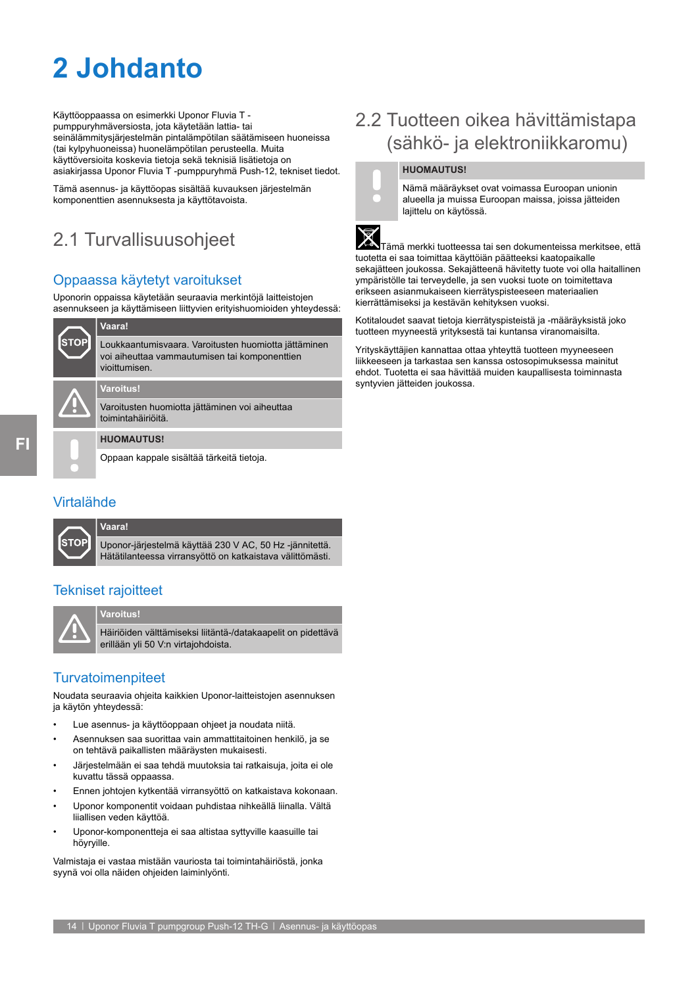## <span id="page-13-0"></span>**2 Johdanto**

Käyttöoppaassa on esimerkki Uponor Fluvia T pumppuryhmäversiosta, jota käytetään lattia- tai seinälämmitysjärjestelmän pintalämpötilan säätämiseen huoneissa (tai kylpyhuoneissa) huonelämpötilan perusteella. Muita käyttöversioita koskevia tietoja sekä teknisiä lisätietoja on asiakirjassa Uponor Fluvia T -pumppuryhmä Push-12, tekniset tiedot.

Tämä asennus- ja käyttöopas sisältää kuvauksen järjestelmän komponenttien asennuksesta ja käyttötavoista.

## 2.1 Turvallisuusohjeet

## Oppaassa käytetyt varoitukset

Uponorin oppaissa käytetään seuraavia merkintöjä laitteistojen asennukseen ja käyttämiseen liittyvien erityishuomioiden yhteydessä:

> Loukkaantumisvaara. Varoitusten huomiotta jättäminen voi aiheuttaa vammautumisen tai komponenttien

|--|--|

## **Varoitus!**

vioittumisen.

**Vaara!**

Varoitusten huomiotta jättäminen voi aiheuttaa toimintahäiriöitä.

## **HUOMAUTUS!**

Oppaan kappale sisältää tärkeitä tietoja.

## Virtalähde



**Vaara!** Uponor-järjestelmä käyttää 230 V AC, 50 Hz -jännitettä. Hätätilanteessa virransyöttö on katkaistava välittömästi.

## Tekniset rajoitteet



#### **Varoitus!**

Häiriöiden välttämiseksi liitäntä-/datakaapelit on pidettävä erillään yli 50 V:n virtajohdoista.

## **Turvatoimenpiteet**

Noudata seuraavia ohjeita kaikkien Uponor-laitteistojen asennuksen ja käytön yhteydessä:

- Lue asennus- ja käyttöoppaan ohjeet ja noudata niitä.
- Asennuksen saa suorittaa vain ammattitaitoinen henkilö, ja se on tehtävä paikallisten määräysten mukaisesti.
- Järjestelmään ei saa tehdä muutoksia tai ratkaisuja, joita ei ole kuvattu tässä oppaassa.
- Ennen johtojen kytkentää virransyöttö on katkaistava kokonaan.
- Uponor komponentit voidaan puhdistaa nihkeällä liinalla. Vältä liiallisen veden käyttöä.
- Uponor-komponentteja ei saa altistaa syttyville kaasuille tai höyryille.

Valmistaja ei vastaa mistään vauriosta tai toimintahäiriöstä, jonka syynä voi olla näiden ohjeiden laiminlyönti.

## 2.2 Tuotteen oikea hävittämistapa (sähkö- ja elektroniikkaromu)

### **HUOMAUTUS!**



Nämä määräykset ovat voimassa Euroopan unionin alueella ja muissa Euroopan maissa, joissa jätteiden lajittelu on käytössä.

Tämä merkki tuotteessa tai sen dokumenteissa merkitsee, että tuotetta ei saa toimittaa käyttöiän päätteeksi kaatopaikalle sekajätteen joukossa. Sekajätteenä hävitetty tuote voi olla haitallinen ympäristölle tai terveydelle, ja sen vuoksi tuote on toimitettava erikseen asianmukaiseen kierrätyspisteeseen materiaalien kierrättämiseksi ja kestävän kehityksen vuoksi.

Kotitaloudet saavat tietoja kierrätyspisteistä ja -määräyksistä joko tuotteen myyneestä yrityksestä tai kuntansa viranomaisilta.

Yrityskäyttäjien kannattaa ottaa yhteyttä tuotteen myyneeseen liikkeeseen ja tarkastaa sen kanssa ostosopimuksessa mainitut ehdot. Tuotetta ei saa hävittää muiden kaupallisesta toiminnasta syntyvien jätteiden joukossa.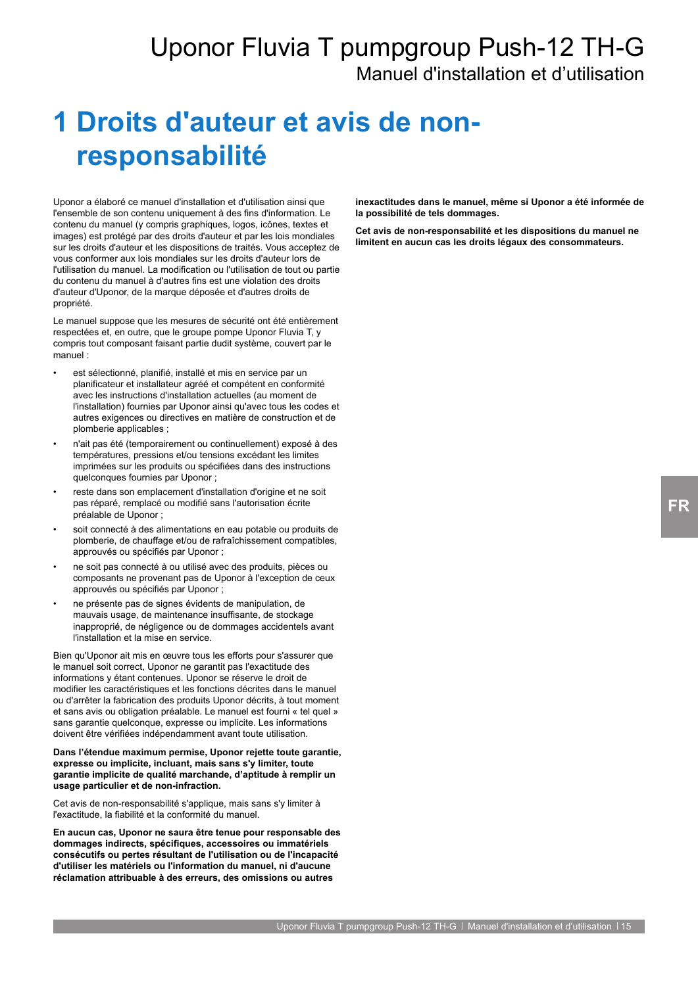## <span id="page-14-0"></span>**1 Droits d'auteur et avis de nonresponsabilité**

Uponor a élaboré ce manuel d'installation et d'utilisation ainsi que l'ensemble de son contenu uniquement à des fins d'information. Le contenu du manuel (y compris graphiques, logos, icônes, textes et images) est protégé par des droits d'auteur et par les lois mondiales sur les droits d'auteur et les dispositions de traités. Vous acceptez de vous conformer aux lois mondiales sur les droits d'auteur lors de l'utilisation du manuel. La modification ou l'utilisation de tout ou partie du contenu du manuel à d'autres fins est une violation des droits d'auteur d'Uponor, de la marque déposée et d'autres droits de propriété.

Le manuel suppose que les mesures de sécurité ont été entièrement respectées et, en outre, que le groupe pompe Uponor Fluvia T, y compris tout composant faisant partie dudit système, couvert par le manuel :

- est sélectionné, planifié, installé et mis en service par un planificateur et installateur agréé et compétent en conformité avec les instructions d'installation actuelles (au moment de l'installation) fournies par Uponor ainsi qu'avec tous les codes et autres exigences ou directives en matière de construction et de plomberie applicables ;
- n'ait pas été (temporairement ou continuellement) exposé à des températures, pressions et/ou tensions excédant les limites imprimées sur les produits ou spécifiées dans des instructions quelconques fournies par Uponor ;
- reste dans son emplacement d'installation d'origine et ne soit pas réparé, remplacé ou modifié sans l'autorisation écrite préalable de Uponor ;
- soit connecté à des alimentations en eau potable ou produits de plomberie, de chauffage et/ou de rafraîchissement compatibles, approuvés ou spécifiés par Uponor ;
- ne soit pas connecté à ou utilisé avec des produits, pièces ou composants ne provenant pas de Uponor à l'exception de ceux approuvés ou spécifiés par Uponor ;
- ne présente pas de signes évidents de manipulation, de mauvais usage, de maintenance insuffisante, de stockage inapproprié, de négligence ou de dommages accidentels avant l'installation et la mise en service.

Bien qu'Uponor ait mis en œuvre tous les efforts pour s'assurer que le manuel soit correct, Uponor ne garantit pas l'exactitude des informations y étant contenues. Uponor se réserve le droit de modifier les caractéristiques et les fonctions décrites dans le manuel ou d'arrêter la fabrication des produits Uponor décrits, à tout moment et sans avis ou obligation préalable. Le manuel est fourni « tel quel » sans garantie quelconque, expresse ou implicite. Les informations doivent être vérifiées indépendamment avant toute utilisation.

#### **Dans l'étendue maximum permise, Uponor rejette toute garantie, expresse ou implicite, incluant, mais sans s'y limiter, toute garantie implicite de qualité marchande, d'aptitude à remplir un usage particulier et de non-infraction.**

Cet avis de non-responsabilité s'applique, mais sans s'y limiter à l'exactitude, la fiabilité et la conformité du manuel.

**En aucun cas, Uponor ne saura être tenue pour responsable des dommages indirects, spécifiques, accessoires ou immatériels consécutifs ou pertes résultant de l'utilisation ou de l'incapacité d'utiliser les matériels ou l'information du manuel, ni d'aucune réclamation attribuable à des erreurs, des omissions ou autres**

**inexactitudes dans le manuel, même si Uponor a été informée de la possibilité de tels dommages.**

**Cet avis de non-responsabilité et les dispositions du manuel ne limitent en aucun cas les droits légaux des consommateurs.**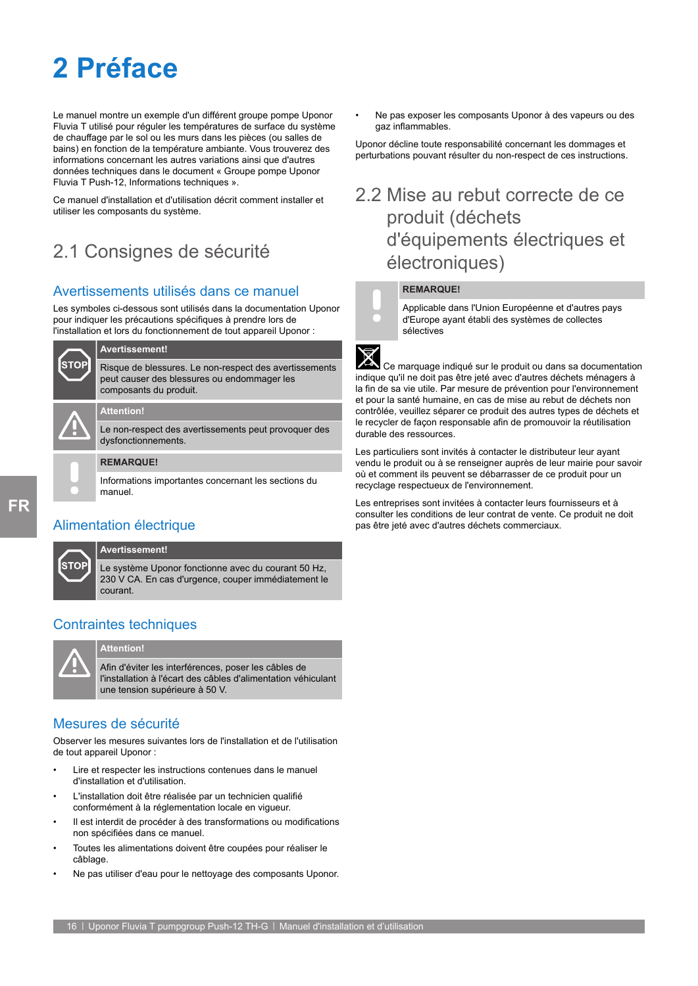## <span id="page-15-0"></span>**2 Préface**

Le manuel montre un exemple d'un différent groupe pompe Uponor Fluvia T utilisé pour réguler les températures de surface du système de chauffage par le sol ou les murs dans les pièces (ou salles de bains) en fonction de la température ambiante. Vous trouverez des informations concernant les autres variations ainsi que d'autres données techniques dans le document « Groupe pompe Uponor Fluvia T Push-12, Informations techniques ».

Ce manuel d'installation et d'utilisation décrit comment installer et utiliser les composants du système.

## 2.1 Consignes de sécurité

## Avertissements utilisés dans ce manuel

Les symboles ci-dessous sont utilisés dans la documentation Uponor pour indiquer les précautions spécifiques à prendre lors de l'installation et lors du fonctionnement de tout appareil Uponor :

| $\mathbf{C}$ |
|--------------|
|              |

#### **Avertissement!**

Risque de blessures. Le non-respect des avertissements peut causer des blessures ou endommager les composants du produit.

#### **Attention!**

Le non-respect des avertissements peut provoquer des dysfonctionnements.

#### **REMARQUE!**

Informations importantes concernant les sections du manuel.

## Alimentation électrique



#### **Avertissement!**

Le système Uponor fonctionne avec du courant 50 Hz, 230 V CA. En cas d'urgence, couper immédiatement le courant.

## Contraintes techniques



### **Attention!**

Afin d'éviter les interférences, poser les câbles de l'installation à l'écart des câbles d'alimentation véhiculant une tension supérieure à 50 V.

## Mesures de sécurité

Observer les mesures suivantes lors de l'installation et de l'utilisation de tout appareil Uponor :

- Lire et respecter les instructions contenues dans le manuel d'installation et d'utilisation.
- L'installation doit être réalisée par un technicien qualifié conformément à la réglementation locale en vigueur.
- Il est interdit de procéder à des transformations ou modifications non spécifiées dans ce manuel.
- Toutes les alimentations doivent être coupées pour réaliser le câblage.
- Ne pas utiliser d'eau pour le nettoyage des composants Uponor.

• Ne pas exposer les composants Uponor à des vapeurs ou des gaz inflammables.

Uponor décline toute responsabilité concernant les dommages et perturbations pouvant résulter du non-respect de ces instructions.

## 2.2 Mise au rebut correcte de ce produit (déchets d'équipements électriques et électroniques)

#### **REMARQUE!**

Applicable dans l'Union Européenne et d'autres pays d'Europe ayant établi des systèmes de collectes sélectives

 Ce marquage indiqué sur le produit ou dans sa documentation indique qu'il ne doit pas être jeté avec d'autres déchets ménagers à la fin de sa vie utile. Par mesure de prévention pour l'environnement et pour la santé humaine, en cas de mise au rebut de déchets non contrôlée, veuillez séparer ce produit des autres types de déchets et le recycler de façon responsable afin de promouvoir la réutilisation durable des ressources.

Les particuliers sont invités à contacter le distributeur leur ayant vendu le produit ou à se renseigner auprès de leur mairie pour savoir où et comment ils peuvent se débarrasser de ce produit pour un recyclage respectueux de l'environnement.

Les entreprises sont invitées à contacter leurs fournisseurs et à consulter les conditions de leur contrat de vente. Ce produit ne doit pas être jeté avec d'autres déchets commerciaux.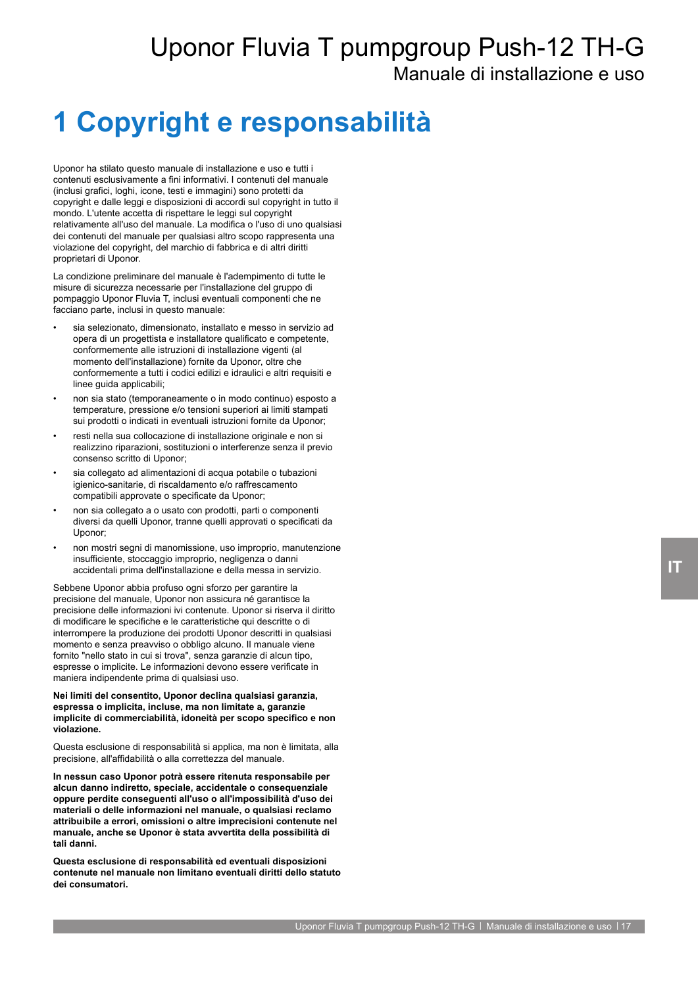## Uponor Fluvia T pumpgroup Push-12 TH-G

Manuale di installazione e uso

## <span id="page-16-0"></span>**1 Copyright e responsabilità**

Uponor ha stilato questo manuale di installazione e uso e tutti i contenuti esclusivamente a fini informativi. I contenuti del manuale (inclusi grafici, loghi, icone, testi e immagini) sono protetti da copyright e dalle leggi e disposizioni di accordi sul copyright in tutto il mondo. L'utente accetta di rispettare le leggi sul copyright relativamente all'uso del manuale. La modifica o l'uso di uno qualsiasi dei contenuti del manuale per qualsiasi altro scopo rappresenta una violazione del copyright, del marchio di fabbrica e di altri diritti proprietari di Uponor.

La condizione preliminare del manuale è l'adempimento di tutte le misure di sicurezza necessarie per l'installazione del gruppo di pompaggio Uponor Fluvia T, inclusi eventuali componenti che ne facciano parte, inclusi in questo manuale:

- sia selezionato, dimensionato, installato e messo in servizio ad opera di un progettista e installatore qualificato e competente, conformemente alle istruzioni di installazione vigenti (al momento dell'installazione) fornite da Uponor, oltre che conformemente a tutti i codici edilizi e idraulici e altri requisiti e linee guida applicabili;
- non sia stato (temporaneamente o in modo continuo) esposto a temperature, pressione e/o tensioni superiori ai limiti stampati sui prodotti o indicati in eventuali istruzioni fornite da Uponor;
- resti nella sua collocazione di installazione originale e non si realizzino riparazioni, sostituzioni o interferenze senza il previo consenso scritto di Uponor;
- sia collegato ad alimentazioni di acqua potabile o tubazioni igienico-sanitarie, di riscaldamento e/o raffrescamento compatibili approvate o specificate da Uponor;
- non sia collegato a o usato con prodotti, parti o componenti diversi da quelli Uponor, tranne quelli approvati o specificati da Uponor;
- non mostri segni di manomissione, uso improprio, manutenzione insufficiente, stoccaggio improprio, negligenza o danni accidentali prima dell'installazione e della messa in servizio.

Sebbene Uponor abbia profuso ogni sforzo per garantire la precisione del manuale, Uponor non assicura né garantisce la precisione delle informazioni ivi contenute. Uponor si riserva il diritto di modificare le specifiche e le caratteristiche qui descritte o di interrompere la produzione dei prodotti Uponor descritti in qualsiasi momento e senza preavviso o obbligo alcuno. Il manuale viene fornito "nello stato in cui si trova", senza garanzie di alcun tipo, espresse o implicite. Le informazioni devono essere verificate in maniera indipendente prima di qualsiasi uso.

**Nei limiti del consentito, Uponor declina qualsiasi garanzia, espressa o implicita, incluse, ma non limitate a, garanzie implicite di commerciabilità, idoneità per scopo specifico e non violazione.**

Questa esclusione di responsabilità si applica, ma non è limitata, alla precisione, all'affidabilità o alla correttezza del manuale.

**In nessun caso Uponor potrà essere ritenuta responsabile per alcun danno indiretto, speciale, accidentale o consequenziale oppure perdite conseguenti all'uso o all'impossibilità d'uso dei materiali o delle informazioni nel manuale, o qualsiasi reclamo attribuibile a errori, omissioni o altre imprecisioni contenute nel manuale, anche se Uponor è stata avvertita della possibilità di tali danni.**

**Questa esclusione di responsabilità ed eventuali disposizioni contenute nel manuale non limitano eventuali diritti dello statuto dei consumatori.**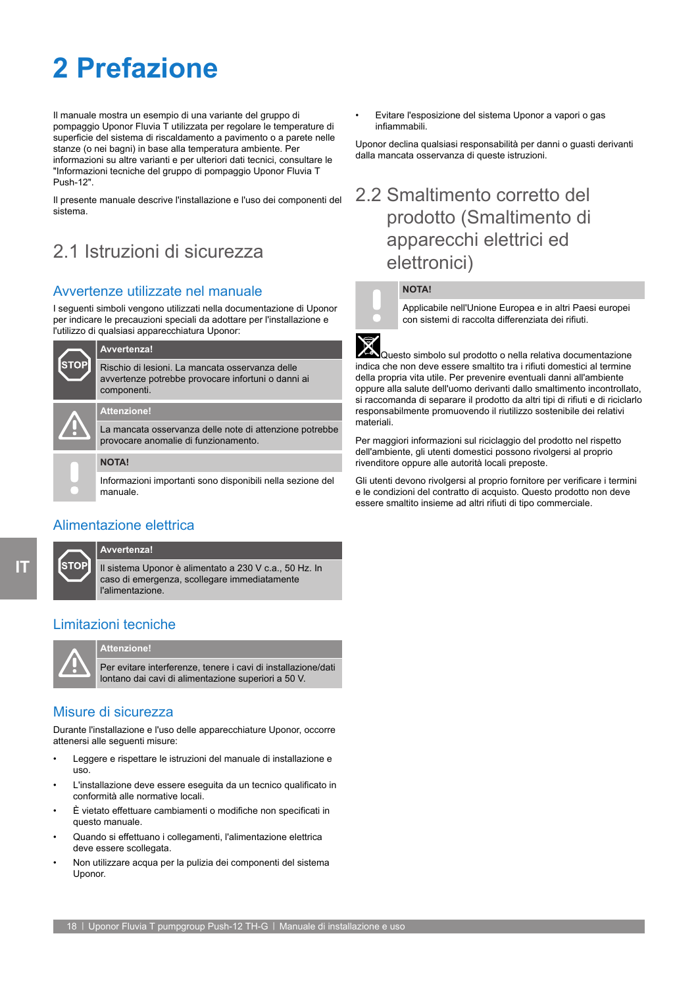## <span id="page-17-0"></span>**2 Prefazione**

Il manuale mostra un esempio di una variante del gruppo di pompaggio Uponor Fluvia T utilizzata per regolare le temperature di superficie del sistema di riscaldamento a pavimento o a parete nelle stanze (o nei bagni) in base alla temperatura ambiente. Per informazioni su altre varianti e per ulteriori dati tecnici, consultare le "Informazioni tecniche del gruppo di pompaggio Uponor Fluvia T Push-12".

Il presente manuale descrive l'installazione e l'uso dei componenti del sistema.

## 2.1 Istruzioni di sicurezza

## Avvertenze utilizzate nel manuale

I seguenti simboli vengono utilizzati nella documentazione di Uponor per indicare le precauzioni speciali da adottare per l'installazione e l'utilizzo di qualsiasi apparecchiatura Uponor:



## **Avvertenza!**

Rischio di lesioni. La mancata osservanza delle avvertenze potrebbe provocare infortuni o danni ai componenti.

#### **Attenzione!**

La mancata osservanza delle note di attenzione potrebbe provocare anomalie di funzionamento.

#### **NOTA!**

Informazioni importanti sono disponibili nella sezione del manuale.

## Alimentazione elettrica



#### **Avvertenza!**

Il sistema Uponor è alimentato a 230 V c.a., 50 Hz. In caso di emergenza, scollegare immediatamente l'alimentazione.

## Limitazioni tecniche



**STOP** 

### **Attenzione!**

Per evitare interferenze, tenere i cavi di installazione/dati lontano dai cavi di alimentazione superiori a 50 V.

## Misure di sicurezza

Durante l'installazione e l'uso delle apparecchiature Uponor, occorre attenersi alle seguenti misure:

- Leggere e rispettare le istruzioni del manuale di installazione e uso.
- L'installazione deve essere eseguita da un tecnico qualificato in conformità alle normative locali.
- È vietato effettuare cambiamenti o modifiche non specificati in questo manuale.
- Quando si effettuano i collegamenti, l'alimentazione elettrica deve essere scollegata.
- Non utilizzare acqua per la pulizia dei componenti del sistema **Uponor**

• Evitare l'esposizione del sistema Uponor a vapori o gas infiammabili.

Uponor declina qualsiasi responsabilità per danni o guasti derivanti dalla mancata osservanza di queste istruzioni.

## 2.2 Smaltimento corretto del prodotto (Smaltimento di apparecchi elettrici ed elettronici)

### **NOTA!**



Applicabile nell'Unione Europea e in altri Paesi europei con sistemi di raccolta differenziata dei rifiuti.

Questo simbolo sul prodotto o nella relativa documentazione indica che non deve essere smaltito tra i rifiuti domestici al termine della propria vita utile. Per prevenire eventuali danni all'ambiente oppure alla salute dell'uomo derivanti dallo smaltimento incontrollato, si raccomanda di separare il prodotto da altri tipi di rifiuti e di riciclarlo responsabilmente promuovendo il riutilizzo sostenibile dei relativi materiali.

Per maggiori informazioni sul riciclaggio del prodotto nel rispetto dell'ambiente, gli utenti domestici possono rivolgersi al proprio rivenditore oppure alle autorità locali preposte.

Gli utenti devono rivolgersi al proprio fornitore per verificare i termini e le condizioni del contratto di acquisto. Questo prodotto non deve essere smaltito insieme ad altri rifiuti di tipo commerciale.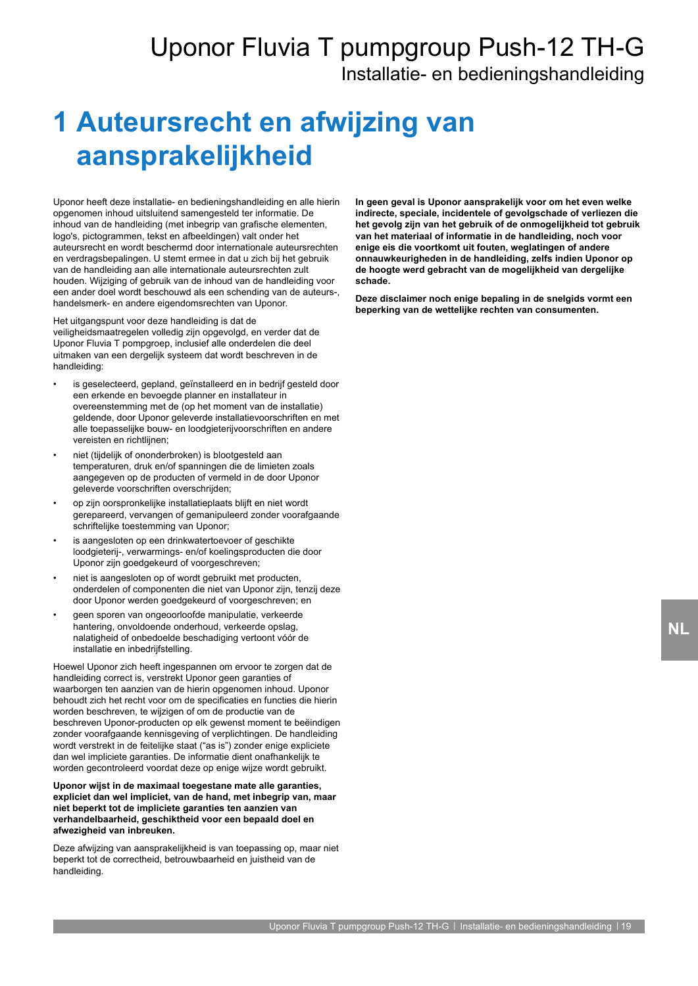## <span id="page-18-0"></span>**1 Auteursrecht en afwijzing van aansprakelijkheid**

Uponor heeft deze installatie- en bedieningshandleiding en alle hierin opgenomen inhoud uitsluitend samengesteld ter informatie. De inhoud van de handleiding (met inbegrip van grafische elementen, logo's, pictogrammen, tekst en afbeeldingen) valt onder het auteursrecht en wordt beschermd door internationale auteursrechten en verdragsbepalingen. U stemt ermee in dat u zich bij het gebruik van de handleiding aan alle internationale auteursrechten zult houden. Wijziging of gebruik van de inhoud van de handleiding voor een ander doel wordt beschouwd als een schending van de auteurs-, handelsmerk- en andere eigendomsrechten van Uponor.

Het uitgangspunt voor deze handleiding is dat de veiligheidsmaatregelen volledig zijn opgevolgd, en verder dat de Uponor Fluvia T pompgroep, inclusief alle onderdelen die deel uitmaken van een dergelijk systeem dat wordt beschreven in de handleiding:

- is geselecteerd, gepland, geïnstalleerd en in bedrijf gesteld door een erkende en bevoegde planner en installateur in overeenstemming met de (op het moment van de installatie) geldende, door Uponor geleverde installatievoorschriften en met alle toepasselijke bouw- en loodgieterijvoorschriften en andere vereisten en richtlijnen;
- niet (tijdelijk of ononderbroken) is blootgesteld aan temperaturen, druk en/of spanningen die de limieten zoals aangegeven op de producten of vermeld in de door Uponor geleverde voorschriften overschrijden;
- op zijn oorspronkelijke installatieplaats blijft en niet wordt gerepareerd, vervangen of gemanipuleerd zonder voorafgaande schriftelijke toestemming van Uponor;
- is aangesloten op een drinkwatertoevoer of geschikte loodgieterij-, verwarmings- en/of koelingsproducten die door Uponor zijn goedgekeurd of voorgeschreven;
- niet is aangesloten op of wordt gebruikt met producten, onderdelen of componenten die niet van Uponor zijn, tenzij deze door Uponor werden goedgekeurd of voorgeschreven; en
- geen sporen van ongeoorloofde manipulatie, verkeerde hantering, onvoldoende onderhoud, verkeerde opslag, nalatigheid of onbedoelde beschadiging vertoont vóór de installatie en inbedrijfstelling.

Hoewel Uponor zich heeft ingespannen om ervoor te zorgen dat de handleiding correct is, verstrekt Uponor geen garanties of waarborgen ten aanzien van de hierin opgenomen inhoud. Uponor behoudt zich het recht voor om de specificaties en functies die hierin worden beschreven, te wijzigen of om de productie van de beschreven Uponor-producten op elk gewenst moment te beëindigen zonder voorafgaande kennisgeving of verplichtingen. De handleiding wordt verstrekt in de feitelijke staat ("as is") zonder enige expliciete dan wel impliciete garanties. De informatie dient onafhankelijk te worden gecontroleerd voordat deze op enige wijze wordt gebruikt.

#### **Uponor wijst in de maximaal toegestane mate alle garanties, expliciet dan wel impliciet, van de hand, met inbegrip van, maar niet beperkt tot de impliciete garanties ten aanzien van verhandelbaarheid, geschiktheid voor een bepaald doel en afwezigheid van inbreuken.**

Deze afwijzing van aansprakelijkheid is van toepassing op, maar niet beperkt tot de correctheid, betrouwbaarheid en juistheid van de handleiding.

**In geen geval is Uponor aansprakelijk voor om het even welke indirecte, speciale, incidentele of gevolgschade of verliezen die het gevolg zijn van het gebruik of de onmogelijkheid tot gebruik van het materiaal of informatie in de handleiding, noch voor enige eis die voortkomt uit fouten, weglatingen of andere onnauwkeurigheden in de handleiding, zelfs indien Uponor op de hoogte werd gebracht van de mogelijkheid van dergelijke schade.**

**Deze disclaimer noch enige bepaling in de snelgids vormt een beperking van de wettelijke rechten van consumenten.**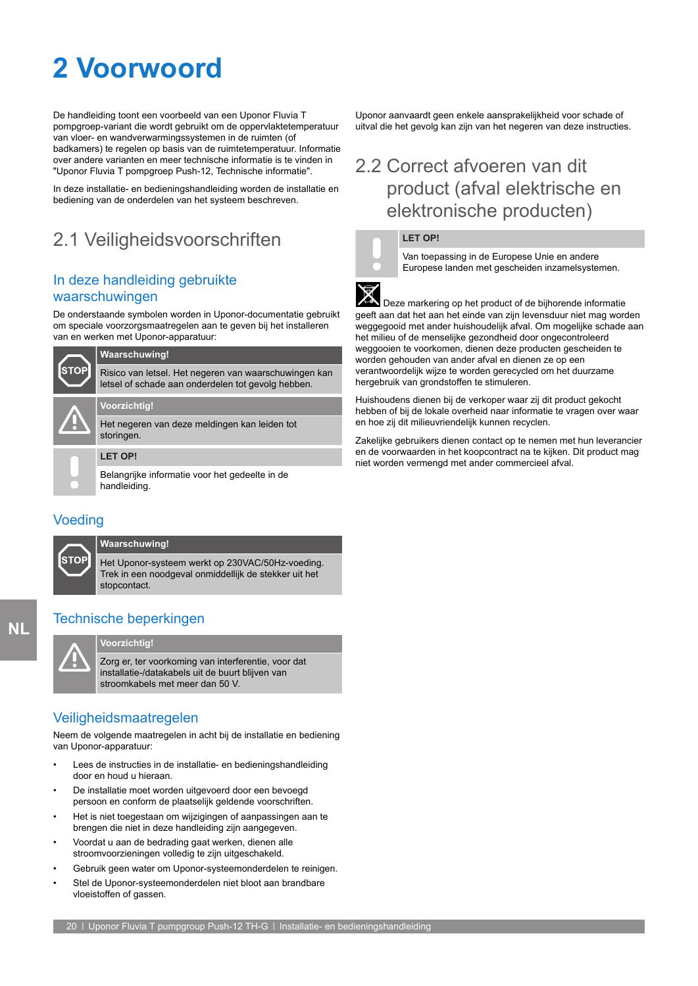## <span id="page-19-0"></span>**2 Voorwoord**

De handleiding toont een voorbeeld van een Uponor Fluvia T pompgroep-variant die wordt gebruikt om de oppervlaktetemperatuur van vloer- en wandverwarmingssystemen in de ruimten (of badkamers) te regelen op basis van de ruimtetemperatuur. Informatie over andere varianten en meer technische informatie is te vinden in "Uponor Fluvia T pompgroep Push-12, Technische informatie".

In deze installatie- en bedieningshandleiding worden de installatie en bediening van de onderdelen van het systeem beschreven.

## 2.1 Veiligheidsvoorschriften

## In deze handleiding gebruikte waarschuwingen

De onderstaande symbolen worden in Uponor-documentatie gebruikt om speciale voorzorgsmaatregelen aan te geven bij het installeren van en werken met Uponor-apparatuur:

| <b>STOP</b>  | <b>Waarschuwing!</b>                                                                                        |
|--------------|-------------------------------------------------------------------------------------------------------------|
|              | Risico van letsel. Het negeren van waarschuwingen kan<br>letsel of schade aan onderdelen tot gevolg hebben. |
| $\mathbf{A}$ | <b>Voorzichtig!</b>                                                                                         |
|              | Het negeren van deze meldingen kan leiden tot<br>storingen.                                                 |
|              | LET OP!                                                                                                     |

Belangrijke informatie voor het gedeelte in de handleiding.

## Voeding



#### **Waarschuwing!**

Het Uponor-systeem werkt op 230VAC/50Hz-voeding. Trek in een noodgeval onmiddellijk de stekker uit het stopcontact.

### Technische beperkingen



#### **Voorzichtig!**

Zorg er, ter voorkoming van interferentie, voor dat installatie-/datakabels uit de buurt blijven van stroomkabels met meer dan 50 V.

## Veiligheidsmaatregelen

Neem de volgende maatregelen in acht bij de installatie en bediening van Uponor-apparatuur:

- Lees de instructies in de installatie- en bedieningshandleiding door en houd u hieraan.
- De installatie moet worden uitgevoerd door een bevoegd persoon en conform de plaatselijk geldende voorschriften.
- Het is niet toegestaan om wijzigingen of aanpassingen aan te brengen die niet in deze handleiding zijn aangegeven.
- Voordat u aan de bedrading gaat werken, dienen alle stroomvoorzieningen volledig te zijn uitgeschakeld.
- Gebruik geen water om Uponor-systeemonderdelen te reinigen.
- Stel de Uponor-systeemonderdelen niet bloot aan brandbare vloeistoffen of gassen.

Uponor aanvaardt geen enkele aansprakelijkheid voor schade of uitval die het gevolg kan zijn van het negeren van deze instructies.

## 2.2 Correct afvoeren van dit product (afval elektrische en elektronische producten)



## **LET OP!**

Van toepassing in de Europese Unie en andere Europese landen met gescheiden inzamelsystemen.



 Deze markering op het product of de bijhorende informatie geeft aan dat het aan het einde van zijn levensduur niet mag worden weggegooid met ander huishoudelijk afval. Om mogelijke schade aan het milieu of de menselijke gezondheid door ongecontroleerd weggooien te voorkomen, dienen deze producten gescheiden te worden gehouden van ander afval en dienen ze op een verantwoordelijk wijze te worden gerecycled om het duurzame hergebruik van grondstoffen te stimuleren.

Huishoudens dienen bij de verkoper waar zij dit product gekocht hebben of bij de lokale overheid naar informatie te vragen over waar en hoe zij dit milieuvriendelijk kunnen recyclen.

Zakelijke gebruikers dienen contact op te nemen met hun leverancier en de voorwaarden in het koopcontract na te kijken. Dit product mag niet worden vermengd met ander commercieel afval.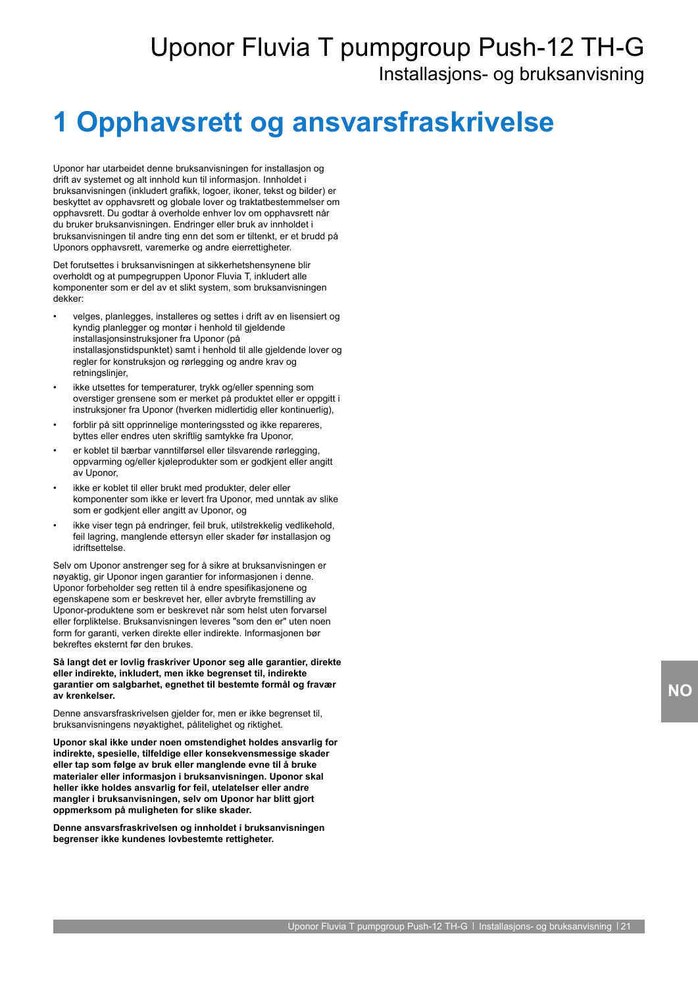## Uponor Fluvia T pumpgroup Push-12 TH-G

Installasjons- og bruksanvisning

## <span id="page-20-0"></span>**1 Opphavsrett og ansvarsfraskrivelse**

Uponor har utarbeidet denne bruksanvisningen for installasjon og drift av systemet og alt innhold kun til informasjon. Innholdet i bruksanvisningen (inkludert grafikk, logoer, ikoner, tekst og bilder) er beskyttet av opphavsrett og globale lover og traktatbestemmelser om opphavsrett. Du godtar å overholde enhver lov om opphavsrett når du bruker bruksanvisningen. Endringer eller bruk av innholdet i bruksanvisningen til andre ting enn det som er tiltenkt, er et brudd på Uponors opphavsrett, varemerke og andre eierrettigheter.

Det forutsettes i bruksanvisningen at sikkerhetshensynene blir overholdt og at pumpegruppen Uponor Fluvia T, inkludert alle komponenter som er del av et slikt system, som bruksanvisningen dekker:

- velges, planlegges, installeres og settes i drift av en lisensiert og kyndig planlegger og montør i henhold til gjeldende installasjonsinstruksjoner fra Uponor (på installasjonstidspunktet) samt i henhold til alle gjeldende lover og regler for konstruksjon og rørlegging og andre krav og retningslinjer
- ikke utsettes for temperaturer, trykk og/eller spenning som overstiger grensene som er merket på produktet eller er oppgitt i instruksjoner fra Uponor (hverken midlertidig eller kontinuerlig),
- forblir på sitt opprinnelige monteringssted og ikke repareres, byttes eller endres uten skriftlig samtykke fra Uponor,
- er koblet til bærbar vanntilførsel eller tilsvarende rørlegging, oppvarming og/eller kjøleprodukter som er godkjent eller angitt av Uponor,
- ikke er koblet til eller brukt med produkter, deler eller komponenter som ikke er levert fra Uponor, med unntak av slike som er godkjent eller angitt av Uponor, og
- ikke viser tegn på endringer, feil bruk, utilstrekkelig vedlikehold, feil lagring, manglende ettersyn eller skader før installasjon og idriftsettelse.

Selv om Uponor anstrenger seg for å sikre at bruksanvisningen er nøyaktig, gir Uponor ingen garantier for informasjonen i denne. Uponor forbeholder seg retten til å endre spesifikasjonene og egenskapene som er beskrevet her, eller avbryte fremstilling av Uponor-produktene som er beskrevet når som helst uten forvarsel eller forpliktelse. Bruksanvisningen leveres "som den er" uten noen form for garanti, verken direkte eller indirekte. Informasjonen bør bekreftes eksternt før den brukes.

**Så langt det er lovlig fraskriver Uponor seg alle garantier, direkte eller indirekte, inkludert, men ikke begrenset til, indirekte garantier om salgbarhet, egnethet til bestemte formål og fravær av krenkelser.**

Denne ansvarsfraskrivelsen gjelder for, men er ikke begrenset til, bruksanvisningens nøyaktighet, pålitelighet og riktighet.

**Uponor skal ikke under noen omstendighet holdes ansvarlig for indirekte, spesielle, tilfeldige eller konsekvensmessige skader eller tap som følge av bruk eller manglende evne til å bruke materialer eller informasjon i bruksanvisningen. Uponor skal heller ikke holdes ansvarlig for feil, utelatelser eller andre mangler i bruksanvisningen, selv om Uponor har blitt gjort oppmerksom på muligheten for slike skader.**

**Denne ansvarsfraskrivelsen og innholdet i bruksanvisningen begrenser ikke kundenes lovbestemte rettigheter.**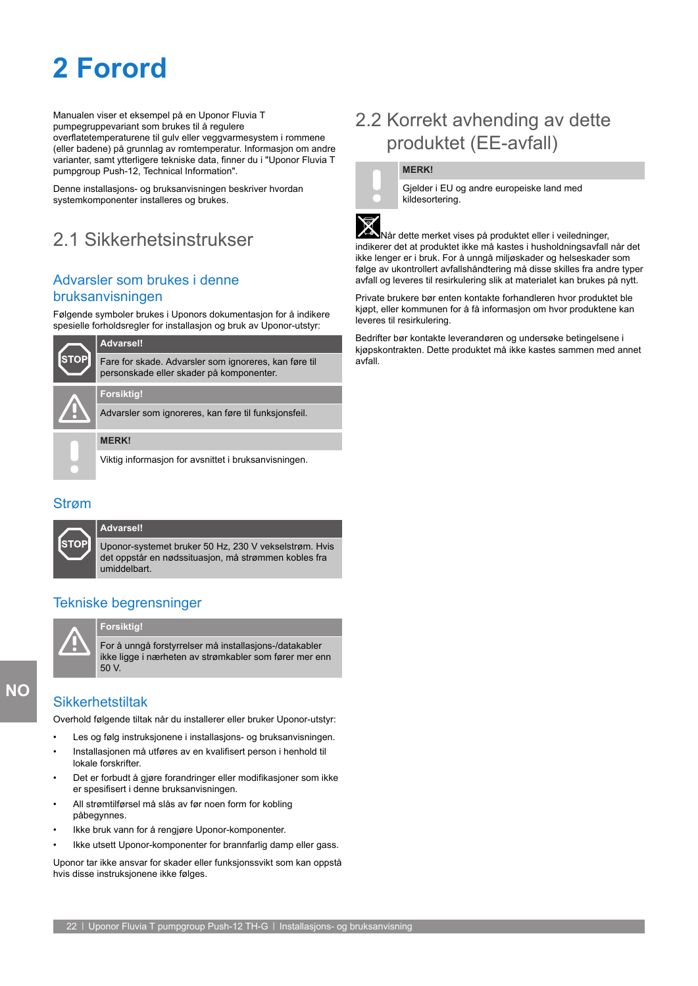## <span id="page-21-0"></span>**2 Forord**

Manualen viser et eksempel på en Uponor Fluvia T pumpegruppevariant som brukes til å regulere overflatetemperaturene til gulv eller veggvarmesystem i rommene (eller badene) på grunnlag av romtemperatur. Informasjon om andre varianter, samt ytterligere tekniske data, finner du i "Uponor Fluvia T pumpgroup Push-12, Technical Information".

Denne installasjons- og bruksanvisningen beskriver hvordan systemkomponenter installeres og brukes.

## 2.1 Sikkerhetsinstrukser

## Advarsler som brukes i denne bruksanvisningen

Følgende symboler brukes i Uponors dokumentasjon for å indikere spesielle forholdsregler for installasjon og bruk av Uponor-utstyr:



### Strøm



### **Advarsel!**

Uponor-systemet bruker 50 Hz, 230 V vekselstrøm. Hvis det oppstår en nødssituasjon, må strømmen kobles fra umiddelbart.

## Tekniske begrensninger



**Forsiktig!**

For å unngå forstyrrelser må installasjons-/datakabler ikke ligge i nærheten av strømkabler som fører mer enn 50 V.

## **Sikkerhetstiltak**

Overhold følgende tiltak når du installerer eller bruker Uponor-utstyr:

- Les og følg instruksjonene i installasjons- og bruksanvisningen.
- Installasjonen må utføres av en kvalifisert person i henhold til lokale forskrifter.
- Det er forbudt å gjøre forandringer eller modifikasjoner som ikke er spesifisert i denne bruksanvisningen.
- All strømtilførsel må slås av før noen form for kobling påbegynnes.
- Ikke bruk vann for å rengjøre Uponor-komponenter.
- Ikke utsett Uponor-komponenter for brannfarlig damp eller gass.

Uponor tar ikke ansvar for skader eller funksjonssvikt som kan oppstå hvis disse instruksjonene ikke følges.

## 2.2 Korrekt avhending av dette produktet (EE-avfall)

#### **MERK!**



Gjelder i EU og andre europeiske land med kildesortering.

Når dette merket vises på produktet eller i veiledninger, indikerer det at produktet ikke må kastes i husholdningsavfall når det ikke lenger er i bruk. For å unngå miljøskader og helseskader som følge av ukontrollert avfallshåndtering må disse skilles fra andre typer avfall og leveres til resirkulering slik at materialet kan brukes på nytt.

Private brukere bør enten kontakte forhandleren hvor produktet ble kjøpt, eller kommunen for å få informasjon om hvor produktene kan leveres til resirkulering.

Bedrifter bør kontakte leverandøren og undersøke betingelsene i kjøpskontrakten. Dette produktet må ikke kastes sammen med annet avfall.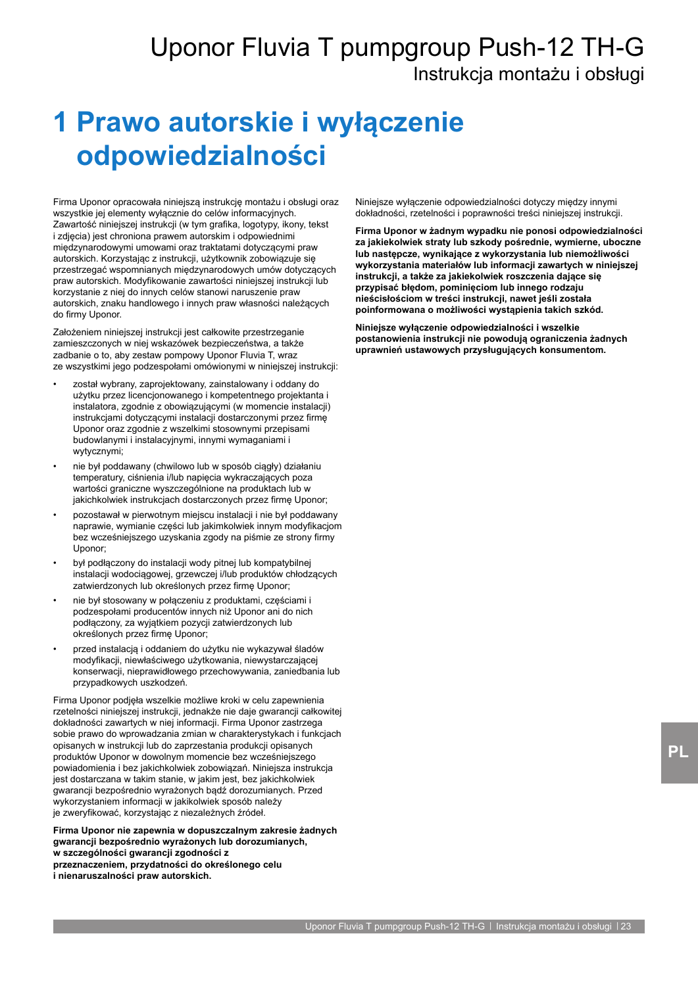## <span id="page-22-0"></span>**1 Prawo autorskie i wyłączenie odpowiedzialności**

Firma Uponor opracowała niniejszą instrukcję montażu i obsługi oraz wszystkie jej elementy wyłącznie do celów informacyjnych. Zawartość niniejszej instrukcji (w tym grafika, logotypy, ikony, tekst i zdjęcia) jest chroniona prawem autorskim i odpowiednimi międzynarodowymi umowami oraz traktatami dotyczącymi praw autorskich. Korzystając z instrukcji, użytkownik zobowiązuje się przestrzegać wspomnianych międzynarodowych umów dotyczących praw autorskich. Modyfikowanie zawartości niniejszej instrukcji lub korzystanie z niej do innych celów stanowi naruszenie praw autorskich, znaku handlowego i innych praw własności należących do firmy Uponor.

Założeniem niniejszej instrukcji jest całkowite przestrzeganie zamieszczonych w niej wskazówek bezpieczeństwa, a także zadbanie o to, aby zestaw pompowy Uponor Fluvia T, wraz ze wszystkimi jego podzespołami omówionymi w niniejszej instrukcji:

- został wybrany, zaprojektowany, zainstalowany i oddany do użytku przez licencjonowanego i kompetentnego projektanta i instalatora, zgodnie z obowiązującymi (w momencie instalacji) instrukcjami dotyczącymi instalacji dostarczonymi przez firmę Uponor oraz zgodnie z wszelkimi stosownymi przepisami budowlanymi i instalacyjnymi, innymi wymaganiami i wytycznymi;
- nie był poddawany (chwilowo lub w sposób ciągły) działaniu temperatury, ciśnienia i/lub napięcia wykraczających poza wartości graniczne wyszczególnione na produktach lub w jakichkolwiek instrukcjach dostarczonych przez firmę Uponor;
- pozostawał w pierwotnym miejscu instalacji i nie był poddawany naprawie, wymianie części lub jakimkolwiek innym modyfikacjom bez wcześniejszego uzyskania zgody na piśmie ze strony firmy Uponor;
- był podłączony do instalacji wody pitnej lub kompatybilnej instalacji wodociągowej, grzewczej i/lub produktów chłodzących zatwierdzonych lub określonych przez firmę Uponor;
- nie był stosowany w połączeniu z produktami, częściami i podzespołami producentów innych niż Uponor ani do nich podłączony, za wyjątkiem pozycji zatwierdzonych lub określonych przez firmę Uponor;
- przed instalacją i oddaniem do użytku nie wykazywał śladów modyfikacji, niewłaściwego użytkowania, niewystarczającej konserwacji, nieprawidłowego przechowywania, zaniedbania lub przypadkowych uszkodzeń.

Firma Uponor podjęła wszelkie możliwe kroki w celu zapewnienia rzetelności niniejszej instrukcji, jednakże nie daje gwarancji całkowitej dokładności zawartych w niej informacji. Firma Uponor zastrzega sobie prawo do wprowadzania zmian w charakterystykach i funkcjach opisanych w instrukcji lub do zaprzestania produkcji opisanych produktów Uponor w dowolnym momencie bez wcześniejszego powiadomienia i bez jakichkolwiek zobowiązań. Niniejsza instrukcja jest dostarczana w takim stanie, w jakim jest, bez jakichkolwiek gwarancji bezpośrednio wyrażonych bądź dorozumianych. Przed wykorzystaniem informacji w jakikolwiek sposób należy je zweryfikować, korzystając z niezależnych źródeł.

**Firma Uponor nie zapewnia w dopuszczalnym zakresie żadnych gwarancji bezpośrednio wyrażonych lub dorozumianych, w szczególności gwarancji zgodności z przeznaczeniem, przydatności do określonego celu i nienaruszalności praw autorskich.**

Niniejsze wyłączenie odpowiedzialności dotyczy między innymi dokładności, rzetelności i poprawności treści niniejszej instrukcji.

**Firma Uponor w żadnym wypadku nie ponosi odpowiedzialności za jakiekolwiek straty lub szkody pośrednie, wymierne, uboczne lub następcze, wynikające z wykorzystania lub niemożliwości wykorzystania materiałów lub informacji zawartych w niniejszej instrukcji, a także za jakiekolwiek roszczenia dające się przypisać błędom, pominięciom lub innego rodzaju nieścisłościom w treści instrukcji, nawet jeśli została poinformowana o możliwości wystąpienia takich szkód.**

**Niniejsze wyłączenie odpowiedzialności i wszelkie postanowienia instrukcji nie powodują ograniczenia żadnych uprawnień ustawowych przysługujących konsumentom.**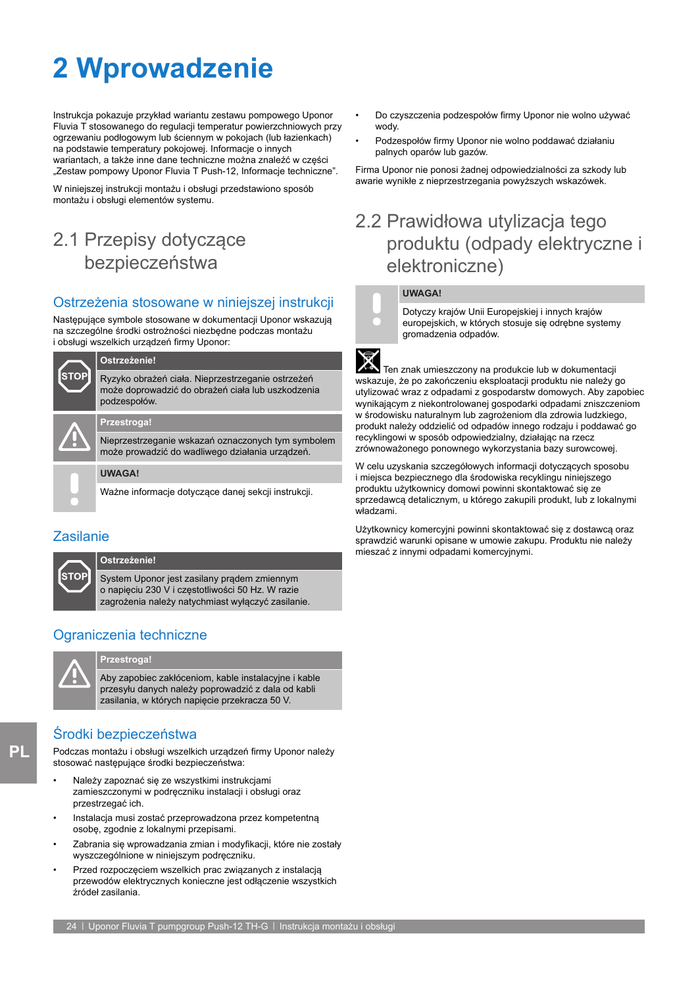## <span id="page-23-0"></span>**2 Wprowadzenie**

Instrukcja pokazuje przykład wariantu zestawu pompowego Uponor Fluvia T stosowanego do regulacji temperatur powierzchniowych przy ogrzewaniu podłogowym lub ściennym w pokojach (lub łazienkach) na podstawie temperatury pokojowej. Informacje o innych wariantach, a także inne dane techniczne można znaleźć w części "Zestaw pompowy Uponor Fluvia T Push-12, Informacje techniczne".

W niniejszej instrukcji montażu i obsługi przedstawiono sposób montażu i obsługi elementów systemu.

## 2.1 Przepisy dotyczące bezpieczeństwa

## Ostrzeżenia stosowane w niniejszej instrukcji

Następujące symbole stosowane w dokumentacji Uponor wskazują na szczególne środki ostrożności niezbędne podczas montażu i obsługi wszelkich urządzeń firmy Uponor:

| Q |
|---|
|   |

#### może doprowadzić do obrażeń ciała lub uszkodzenia podzespołów.

**Ostrzeżenie!**

**Przestroga!**

Nieprzestrzeganie wskazań oznaczonych tym symbolem może prowadzić do wadliwego działania urządzeń.

#### **UWAGA!**

Ważne informacje dotyczące danej sekcji instrukcji.

Ryzyko obrażeń ciała. Nieprzestrzeganie ostrzeżeń

## Zasilanie



## **Ostrzeżenie!**

System Uponor jest zasilany prądem zmiennym o napięciu 230 V i częstotliwości 50 Hz. W razie zagrożenia należy natychmiast wyłączyć zasilanie.

## Ograniczenia techniczne



### **Przestroga!**

Aby zapobiec zakłóceniom, kable instalacyjne i kable przesyłu danych należy poprowadzić z dala od kabli zasilania, w których napięcie przekracza 50 V.

## Środki bezpieczeństwa

Podczas montażu i obsługi wszelkich urządzeń firmy Uponor należy stosować następujące środki bezpieczeństwa:

- Należy zapoznać się ze wszystkimi instrukcjami zamieszczonymi w podręczniku instalacji i obsługi oraz przestrzegać ich.
- Instalacja musi zostać przeprowadzona przez kompetentną osobę, zgodnie z lokalnymi przepisami.
- Zabrania się wprowadzania zmian i modyfikacji, które nie zostały wyszczególnione w niniejszym podręczniku.
- Przed rozpoczęciem wszelkich prac związanych z instalacją przewodów elektrycznych konieczne jest odłączenie wszystkich źródeł zasilania.
- Do czyszczenia podzespołów firmy Uponor nie wolno używać wody.
- Podzespołów firmy Uponor nie wolno poddawać działaniu palnych oparów lub gazów.

Firma Uponor nie ponosi żadnej odpowiedzialności za szkody lub awarie wynikłe z nieprzestrzegania powyższych wskazówek.

## 2.2 Prawidłowa utylizacja tego produktu (odpady elektryczne i elektroniczne)

#### **UWAGA!**

Dotyczy krajów Unii Europejskiej i innych krajów europejskich, w których stosuje się odrębne systemy gromadzenia odpadów.

 Ten znak umieszczony na produkcie lub w dokumentacji wskazuje, że po zakończeniu eksploatacji produktu nie należy go utylizować wraz z odpadami z gospodarstw domowych. Aby zapobiec wynikającym z niekontrolowanej gospodarki odpadami zniszczeniom w środowisku naturalnym lub zagrożeniom dla zdrowia ludzkiego, produkt należy oddzielić od odpadów innego rodzaju i poddawać go recyklingowi w sposób odpowiedzialny, działając na rzecz zrównoważonego ponownego wykorzystania bazy surowcowej.

W celu uzyskania szczegółowych informacji dotyczących sposobu i miejsca bezpiecznego dla środowiska recyklingu niniejszego produktu użytkownicy domowi powinni skontaktować się ze sprzedawcą detalicznym, u którego zakupili produkt, lub z lokalnymi władzami.

Użytkownicy komercyjni powinni skontaktować się z dostawcą oraz sprawdzić warunki opisane w umowie zakupu. Produktu nie należy mieszać z innymi odpadami komercyjnymi.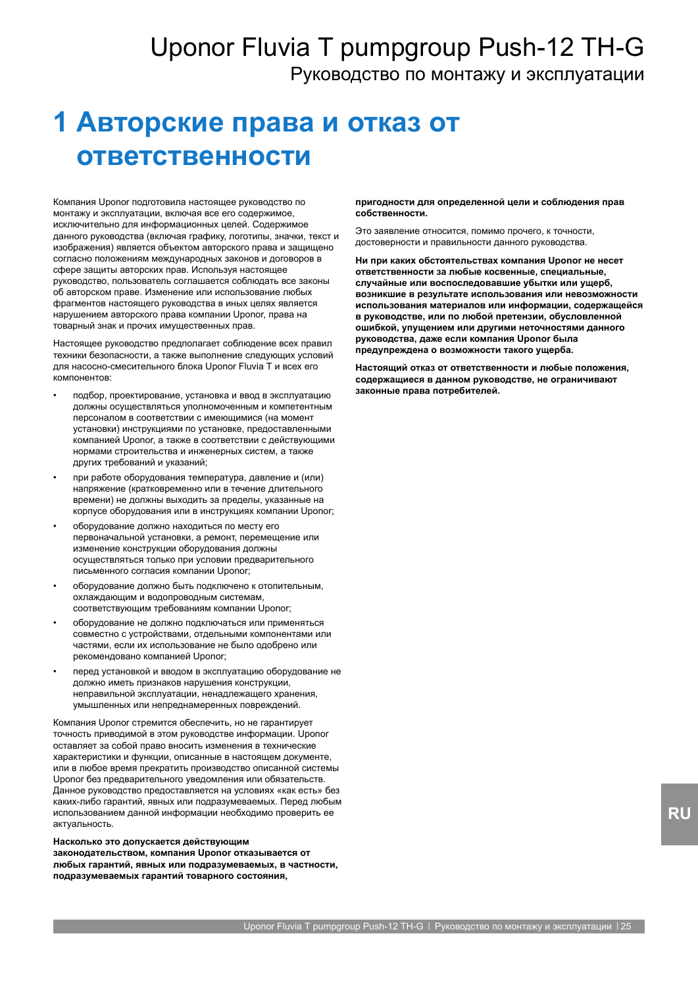## <span id="page-24-0"></span>**1 Авторские права и отказ от ответственности**

Компания Uponor подготовила настоящее руководство по монтажу и эксплуатации, включая все его содержимое, исключительно для информационных целей. Содержимое данного руководства (включая графику, логотипы, значки, текст и изображения) является объектом авторского права и защищено согласно положениям международных законов и договоров в сфере защиты авторских прав. Используя настоящее руководство, пользователь соглашается соблюдать все законы об авторском праве. Изменение или использование любых фрагментов настоящего руководства в иных целях является нарушением авторского права компании Uponor, права на товарный знак и прочих имущественных прав.

Настоящее руководство предполагает соблюдение всех правил техники безопасности, а также выполнение следующих условий для насосно-смесительного блока Uponor Fluvia T и всех его компонентов:

- подбор, проектирование, установка и ввод в эксплуатацию должны осуществляться уполномоченным и компетентным персоналом в соответствии с имеющимися (на момент установки) инструкциями по установке, предоставленными компанией Uponor, а также в соответствии с действующими нормами строительства и инженерных систем, а также других требований и указаний;
- при работе оборудования температура, давление и (или) напряжение (кратковременно или в течение длительного времени) не должны выходить за пределы, указанные на корпусе оборудования или в инструкциях компании Uponor;
- оборудование должно находиться по месту его первоначальной установки, а ремонт, перемещение или изменение конструкции оборудования должны осуществляться только при условии предварительного письменного согласия компании Uponor;
- оборудование должно быть подключено к отопительным, охлаждающим и водопроводным системам, соответствующим требованиям компании Uponor;
- оборудование не должно подключаться или применяться совместно с устройствами, отдельными компонентами или частями, если их использование не было одобрено или рекомендовано компанией Uponor;
- перед установкой и вводом в эксплуатацию оборудование не должно иметь признаков нарушения конструкции, неправильной эксплуатации, ненадлежащего хранения, умышленных или непреднамеренных повреждений.

Компания Uponor стремится обеспечить, но не гарантирует точность приводимой в этом руководстве информации. Uponor оставляет за собой право вносить изменения в технические характеристики и функции, описанные в настоящем документе, или в любое время прекратить производство описанной системы Uponor без предварительного уведомления или обязательств. Данное руководство предоставляется на условиях «как есть» без каких-либо гарантий, явных или подразумеваемых. Перед любым использованием данной информации необходимо проверить ее актуальность.

**Насколько это допускается действующим законодательством, компания Uponor отказывается от любых гарантий, явных или подразумеваемых, в частности, подразумеваемых гарантий товарного состояния,**

**пригодности для определенной цели и соблюдения прав собственности.**

Это заявление относится, помимо прочего, к точности, достоверности и правильности данного руководства.

**Ни при каких обстоятельствах компания Uponor не несет ответственности за любые косвенные, специальные, случайные или воспоследовавшие убытки или ущерб, возникшие в результате использования или невозможности использования материалов или информации, содержащейся в руководстве, или по любой претензии, обусловленной ошибкой, упущением или другими неточностями данного руководства, даже если компания Uponor была предупреждена о возможности такого ущерба.**

**Настоящий отказ от ответственности и любые положения, содержащиеся в данном руководстве, не ограничивают законные права потребителей.**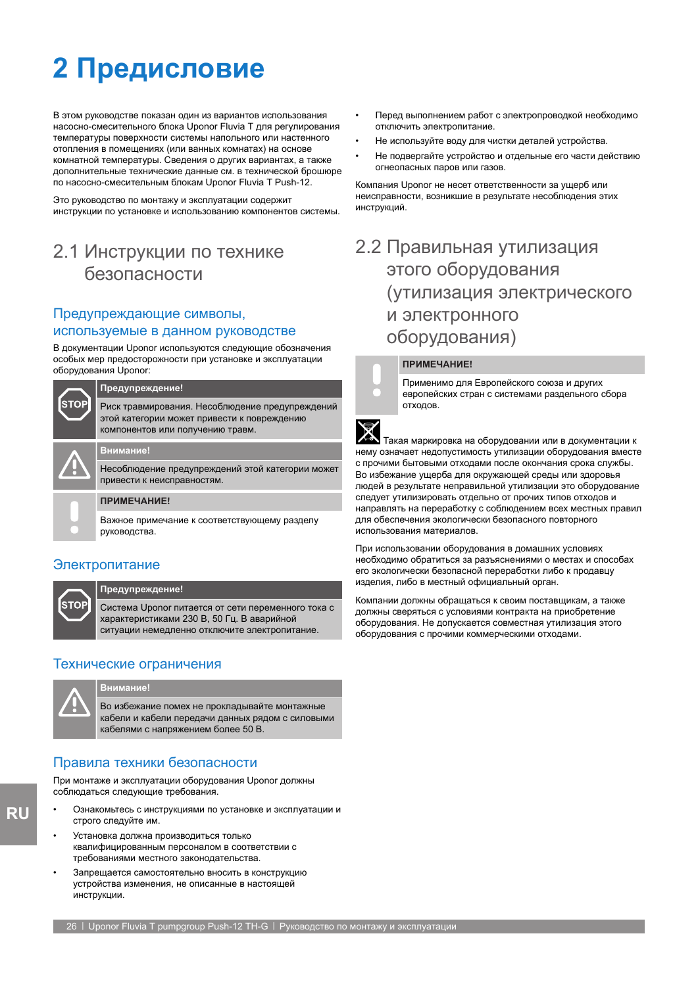## <span id="page-25-0"></span>**2 Предисловие**

В этом руководстве показан один из вариантов использования насосно-смесительного блока Uponor Fluvia T для регулирования температуры поверхности системы напольного или настенного отопления в помещениях (или ванных комнатах) на основе комнатной температуры. Сведения о других вариантах, а также дополнительные технические данные см. в технической брошюре по насосно-смесительным блокам Uponor Fluvia T Push-12.

Это руководство по монтажу и эксплуатации содержит инструкции по установке и использованию компонентов системы.

## 2.1 Инструкции по технике безопасности

### Предупреждающие символы, используемые в данном руководстве

В документации Uponor используются следующие обозначения особых мер предосторожности при установке и эксплуатации оборудования Uponor:



### **Предупреждение!**

Риск травмирования. Несоблюдение предупреждений этой категории может привести к повреждению компонентов или получению травм.



#### **Внимание!**

Несоблюдение предупреждений этой категории может привести к неисправностям.

#### **ПРИМЕЧАНИЕ!**

Важное примечание к соответствующему разделу руководства.

### Электропитание



#### **Предупреждение!**

Система Uponor питается от сети переменного тока с характеристиками 230 В, 50 Гц. В аварийной ситуации немедленно отключите электропитание.

### Технические ограничения



#### **Внимание!**

Во избежание помех не прокладывайте монтажные кабели и кабели передачи данных рядом с силовыми кабелями с напряжением более 50 В.

### Правила техники безопасности

При монтаже и эксплуатации оборудования Uponor должны соблюдаться следующие требования.

- Ознакомьтесь с инструкциями по установке и эксплуатации и строго следуйте им.
- Установка должна производиться только квалифицированным персоналом в соответствии с требованиями местного законодательства.
- Запрещается самостоятельно вносить в конструкцию устройства изменения, не описанные в настоящей инструкции.
- Перед выполнением работ с электропроводкой необходимо отключить электропитание.
- Не используйте воду для чистки деталей устройства.
- Не подвергайте устройство и отдельные его части действию огнеопасных паров или газов.

Компания Uponor не несет ответственности за ущерб или неисправности, возникшие в результате несоблюдения этих инструкций.

## 2.2 Правильная утилизация этого оборудования (утилизация электрического и электронного оборудования)

### **ПРИМЕЧАНИЕ!**

Применимо для Европейского союза и других европейских стран с системами раздельного сбора отходов.



 Такая маркировка на оборудовании или в документации к нему означает недопустимость утилизации оборудования вместе с прочими бытовыми отходами после окончания срока службы. Во избежание ущерба для окружающей среды или здоровья людей в результате неправильной утилизации это оборудование следует утилизировать отдельно от прочих типов отходов и направлять на переработку с соблюдением всех местных правил для обеспечения экологически безопасного повторного использования материалов.

При использовании оборудования в домашних условиях необходимо обратиться за разъяснениями о местах и способах его экологически безопасной переработки либо к продавцу изделия, либо в местный официальный орган.

Компании должны обращаться к своим поставщикам, а также должны сверяться с условиями контракта на приобретение оборудования. Не допускается совместная утилизация этого оборудования с прочими коммерческими отходами.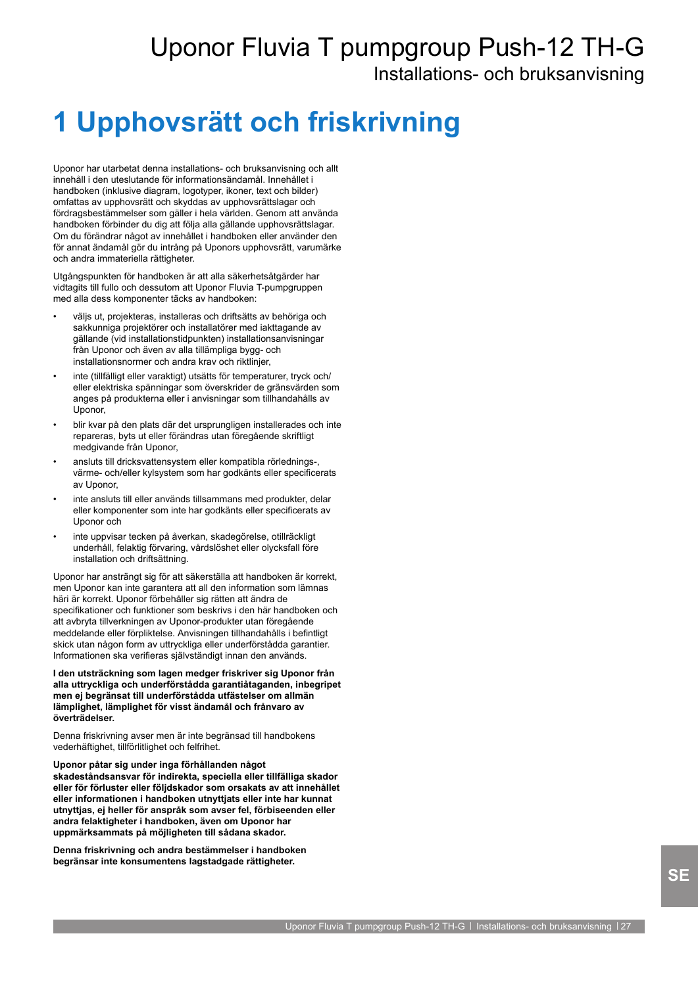## Uponor Fluvia T pumpgroup Push-12 TH-G

Installations- och bruksanvisning

## <span id="page-26-0"></span>**1 Upphovsrätt och friskrivning**

Uponor har utarbetat denna installations- och bruksanvisning och allt innehåll i den uteslutande för informationsändamål. Innehållet i handboken (inklusive diagram, logotyper, ikoner, text och bilder) omfattas av upphovsrätt och skyddas av upphovsrättslagar och fördragsbestämmelser som gäller i hela världen. Genom att använda handboken förbinder du dig att följa alla gällande upphovsrättslagar. Om du förändrar något av innehållet i handboken eller använder den för annat ändamål gör du intrång på Uponors upphovsrätt, varumärke och andra immateriella rättigheter.

Utgångspunkten för handboken är att alla säkerhetsåtgärder har vidtagits till fullo och dessutom att Uponor Fluvia T-pumpgruppen med alla dess komponenter täcks av handboken:

- väljs ut, projekteras, installeras och driftsätts av behöriga och sakkunniga projektörer och installatörer med iakttagande av gällande (vid installationstidpunkten) installationsanvisningar från Uponor och även av alla tillämpliga bygg- och installationsnormer och andra krav och riktlinjer,
- inte (tillfälligt eller varaktigt) utsätts för temperaturer, tryck och/ eller elektriska spänningar som överskrider de gränsvärden som anges på produkterna eller i anvisningar som tillhandahålls av Uponor,
- blir kvar på den plats där det ursprungligen installerades och inte repareras, byts ut eller förändras utan föregående skriftligt medgivande från Uponor,
- ansluts till dricksvattensystem eller kompatibla rörlednings-, värme- och/eller kylsystem som har godkänts eller specificerats av Uponor,
- inte ansluts till eller används tillsammans med produkter, delar eller komponenter som inte har godkänts eller specificerats av Uponor och
- inte uppvisar tecken på åverkan, skadegörelse, otillräckligt underhåll, felaktig förvaring, vårdslöshet eller olycksfall före installation och driftsättning.

Uponor har ansträngt sig för att säkerställa att handboken är korrekt, men Uponor kan inte garantera att all den information som lämnas häri är korrekt. Uponor förbehåller sig rätten att ändra de specifikationer och funktioner som beskrivs i den här handboken och att avbryta tillverkningen av Uponor-produkter utan föregående meddelande eller förpliktelse. Anvisningen tillhandahålls i befintligt skick utan någon form av uttryckliga eller underförstådda garantier. Informationen ska verifieras självständigt innan den används.

**I den utsträckning som lagen medger friskriver sig Uponor från alla uttryckliga och underförstådda garantiåtaganden, inbegripet men ej begränsat till underförstådda utfästelser om allmän lämplighet, lämplighet för visst ändamål och frånvaro av överträdelser.**

Denna friskrivning avser men är inte begränsad till handbokens vederhäftighet, tillförlitlighet och felfrihet.

**Uponor påtar sig under inga förhållanden något skadeståndsansvar för indirekta, speciella eller tillfälliga skador eller för förluster eller följdskador som orsakats av att innehållet eller informationen i handboken utnyttjats eller inte har kunnat utnyttjas, ej heller för anspråk som avser fel, förbiseenden eller andra felaktigheter i handboken, även om Uponor har uppmärksammats på möjligheten till sådana skador.**

**Denna friskrivning och andra bestämmelser i handboken begränsar inte konsumentens lagstadgade rättigheter.**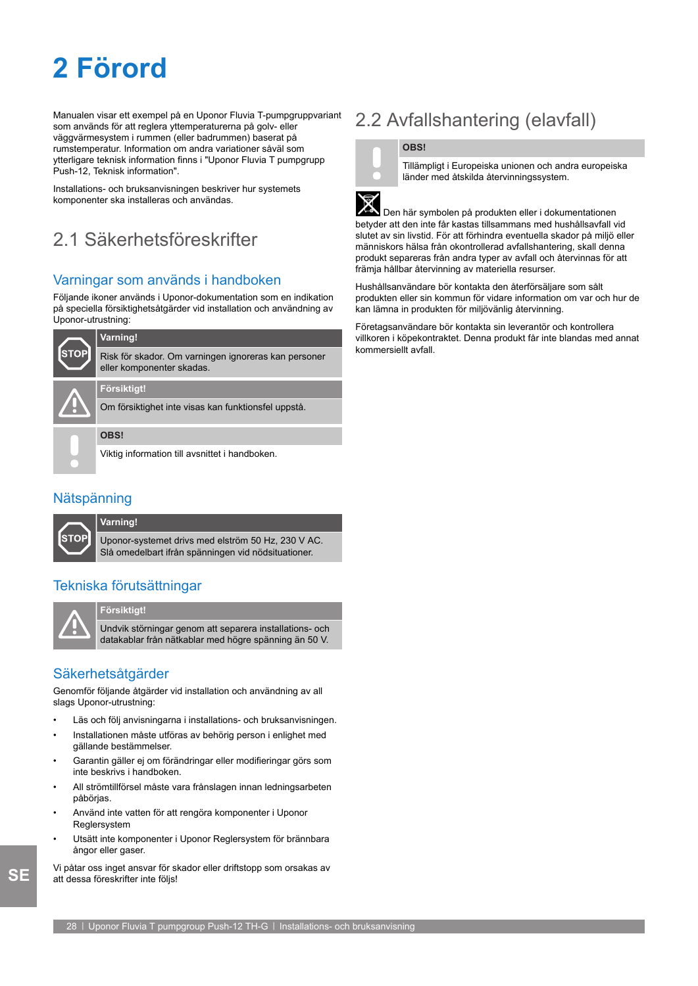## <span id="page-27-0"></span>**2 Förord**

Manualen visar ett exempel på en Uponor Fluvia T-pumpgruppvariant som används för att reglera yttemperaturerna på golv- eller väggvärmesystem i rummen (eller badrummen) baserat på rumstemperatur. Information om andra variationer såväl som ytterligare teknisk information finns i "Uponor Fluvia T pumpgrupp Push-12, Teknisk information".

Installations- och bruksanvisningen beskriver hur systemets komponenter ska installeras och användas.

## 2.1 Säkerhetsföreskrifter

## Varningar som används i handboken

Följande ikoner används i Uponor-dokumentation som en indikation på speciella försiktighetsåtgärder vid installation och användning av Uponor-utrustning:

| <b>STOP</b> | <b>Varning!</b>                                                                   |
|-------------|-----------------------------------------------------------------------------------|
|             | Risk för skador. Om varningen ignoreras kan personer<br>eller komponenter skadas. |
| / <u>!</u>  | Försiktigt!                                                                       |
|             | Om försiktighet inte visas kan funktionsfel uppstå.                               |
|             | <b>OBS!</b>                                                                       |
|             | Viktig information till avsnittet i handboken.                                    |

## Nätspänning



### **Varning!**

Uponor-systemet drivs med elström 50 Hz, 230 V AC. Slå omedelbart ifrån spänningen vid nödsituationer.

## Tekniska förutsättningar



#### **Försiktigt!**

Undvik störningar genom att separera installations- och datakablar från nätkablar med högre spänning än 50 V.

## Säkerhetsåtgärder

Genomför följande åtgärder vid installation och användning av all slags Uponor-utrustning:

- Läs och följ anvisningarna i installations- och bruksanvisningen.
- Installationen måste utföras av behörig person i enlighet med gällande bestämmelser.
- Garantin gäller ej om förändringar eller modifieringar görs som inte beskrivs i handboken.
- All strömtillförsel måste vara frånslagen innan ledningsarbeten påbörjas.
- Använd inte vatten för att rengöra komponenter i Uponor Reglersystem
- Utsätt inte komponenter i Uponor Reglersystem för brännbara ångor eller gaser.

Vi påtar oss inget ansvar för skador eller driftstopp som orsakas av att dessa föreskrifter inte följs!

## 2.2 Avfallshantering (elavfall)

### **OBS!**



Tillämpligt i Europeiska unionen och andra europeiska länder med åtskilda återvinningssystem.

 Den här symbolen på produkten eller i dokumentationen betyder att den inte får kastas tillsammans med hushållsavfall vid slutet av sin livstid. För att förhindra eventuella skador på miljö eller människors hälsa från okontrollerad avfallshantering, skall denna produkt separeras från andra typer av avfall och återvinnas för att främja hållbar återvinning av materiella resurser.

Hushållsanvändare bör kontakta den återförsäljare som sålt produkten eller sin kommun för vidare information om var och hur de kan lämna in produkten för miljövänlig återvinning.

Företagsanvändare bör kontakta sin leverantör och kontrollera villkoren i köpekontraktet. Denna produkt får inte blandas med annat kommersiellt avfall.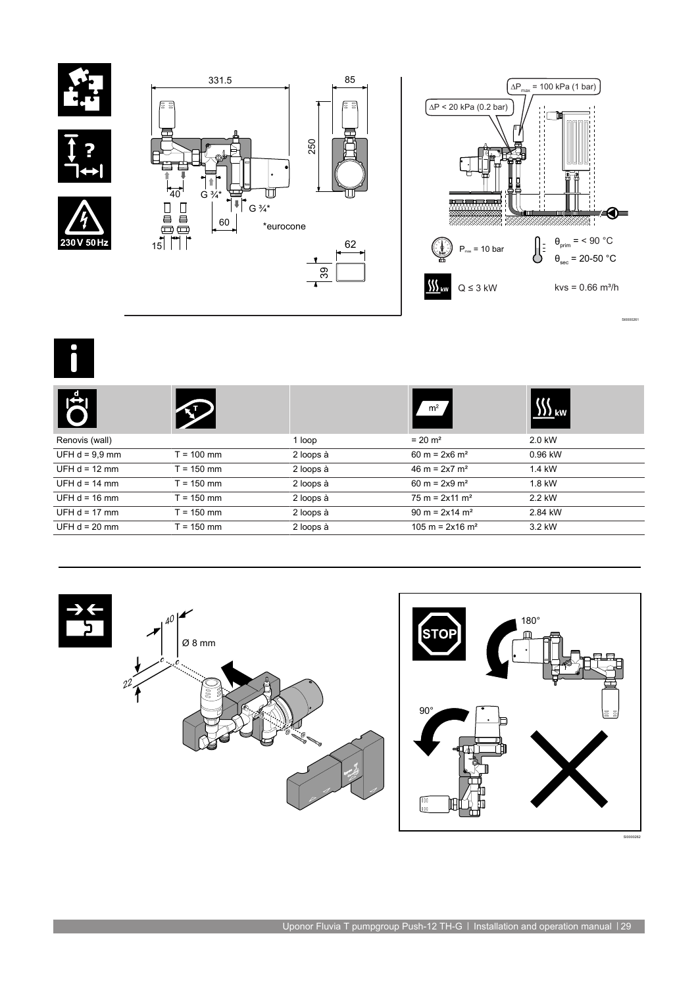<span id="page-28-0"></span>











| Ú                |                    |           | m <sup>2</sup>              | 11 kW   |
|------------------|--------------------|-----------|-----------------------------|---------|
| Renovis (wall)   |                    | 1 loop    | $= 20 \text{ m}^2$          | 2.0 kW  |
| UFH $d = 9.9$ mm | $T = 100$ mm       | 2 loops à | 60 m = $2x6$ m <sup>2</sup> | 0.96 kW |
| UFH $d = 12$ mm  | $= 150 \text{ mm}$ | 2 loops à | 46 m = $2x7$ m <sup>2</sup> | 1.4 kW  |
| UFH $d = 14$ mm  | $= 150 \text{ mm}$ | 2 loops à | 60 m = $2x9$ m <sup>2</sup> | 1.8 kW  |
| UFH $d = 16$ mm  | $= 150 \text{ mm}$ | 2 loops à | $75 m = 2x11 m2$            | 2.2 kW  |
| UFH $d = 17$ mm  | $= 150 \text{ mm}$ | 2 loops à | $90 m = 2x14 m2$            | 2.84 kW |
| UFH $d = 20$ mm  | $= 150 \text{ mm}$ | 2 loops à | $105 m = 2x16 m2$           | 3.2 kW  |
|                  |                    |           |                             |         |

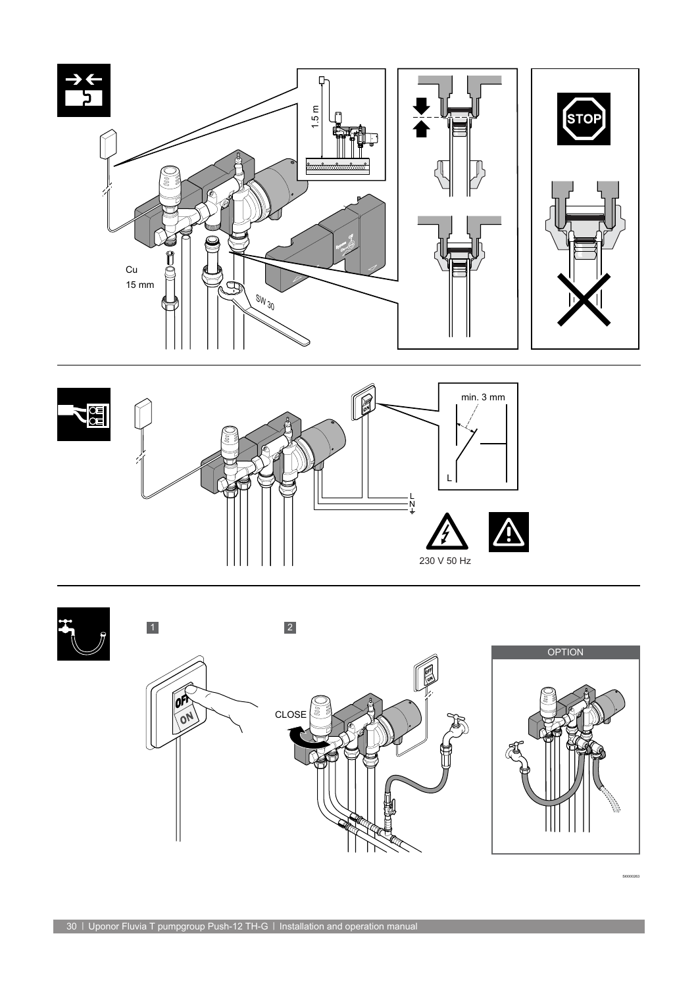





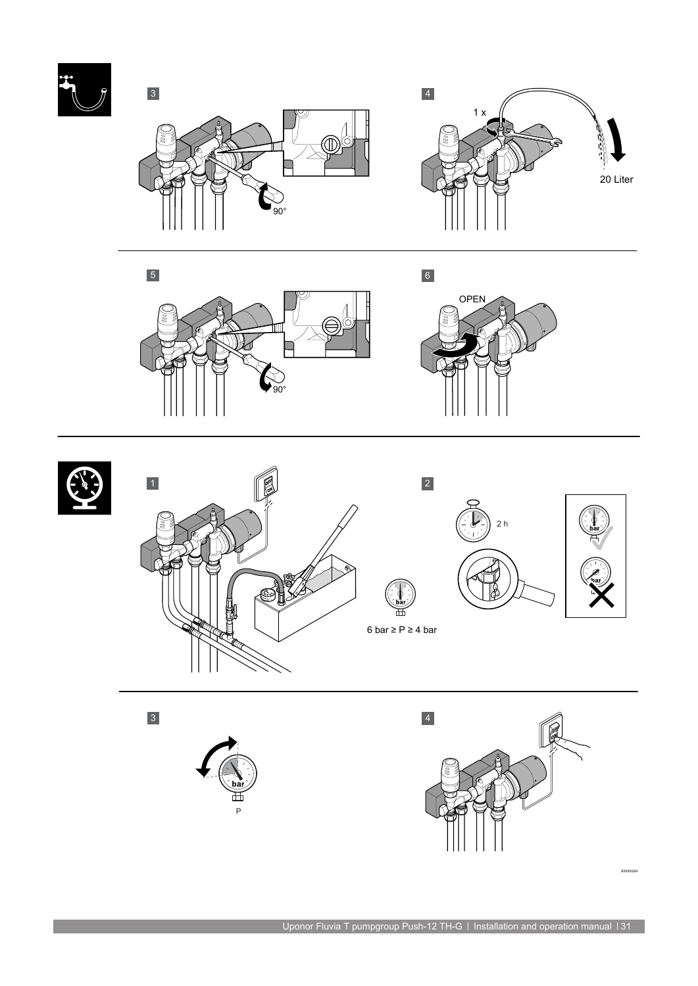













6 bar ≥ P ≥ 4 bar



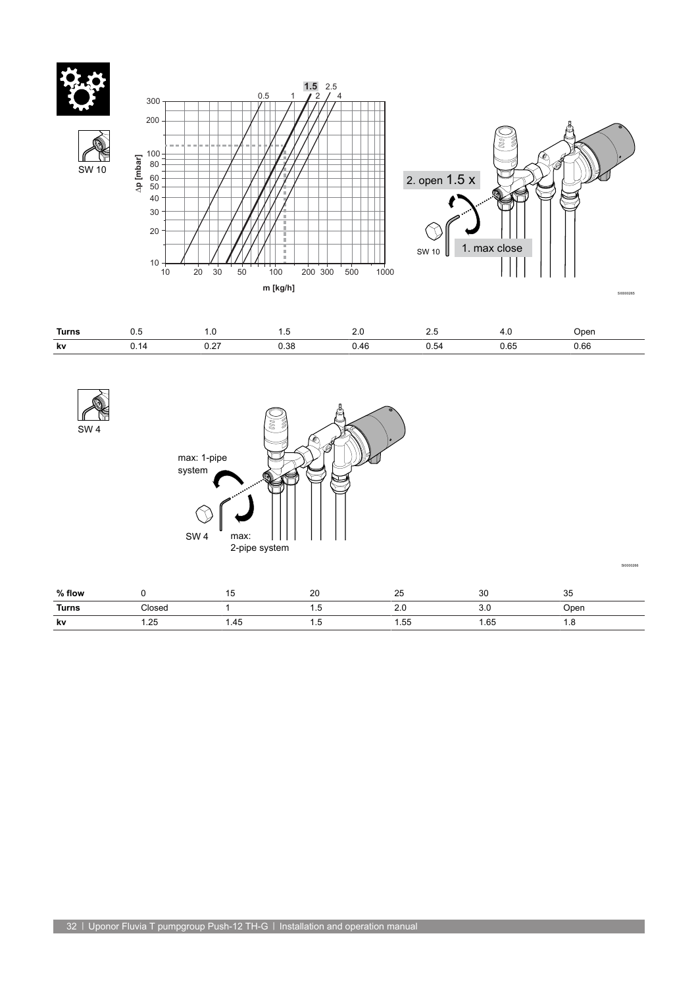



| Turns | ∪.∪<br>. . | $\ddot{\phantom{0}}$<br>$\sim$ | $\sim$ | <u></u><br>$\sim$ | $\sim$                  | $\sim$ |      |
|-------|------------|--------------------------------|--------|-------------------|-------------------------|--------|------|
| k۷    |            | v.∠ i                          | 0.38   |                   | $\mathsf{v}.\mathsf{v}$ | v.vv   | 0.66 |



| % flow       |        | ∪ו   | $\Omega$<br>∠∪ | $\sim$<br>ں ے | 30                                      | $\sim$ $\sim$<br>- -<br>ບປ |
|--------------|--------|------|----------------|---------------|-----------------------------------------|----------------------------|
| <b>Turns</b> | Closea |      | $\cdot$        | $\sim$        | $\sim$<br>$\mathsf{v} \cdot \mathsf{v}$ | Open                       |
| <b>kv</b>    | 1.25   | . 45 | ن ،            | 1.55          | $\sim$ $\sim$<br>.65                    | $\sim$                     |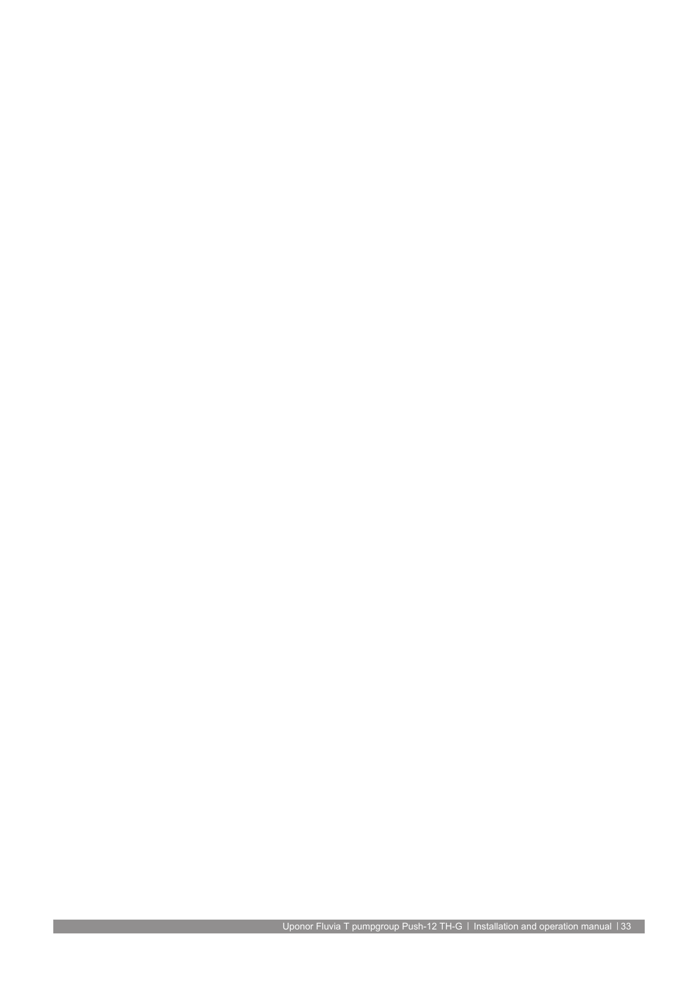the control of the control of the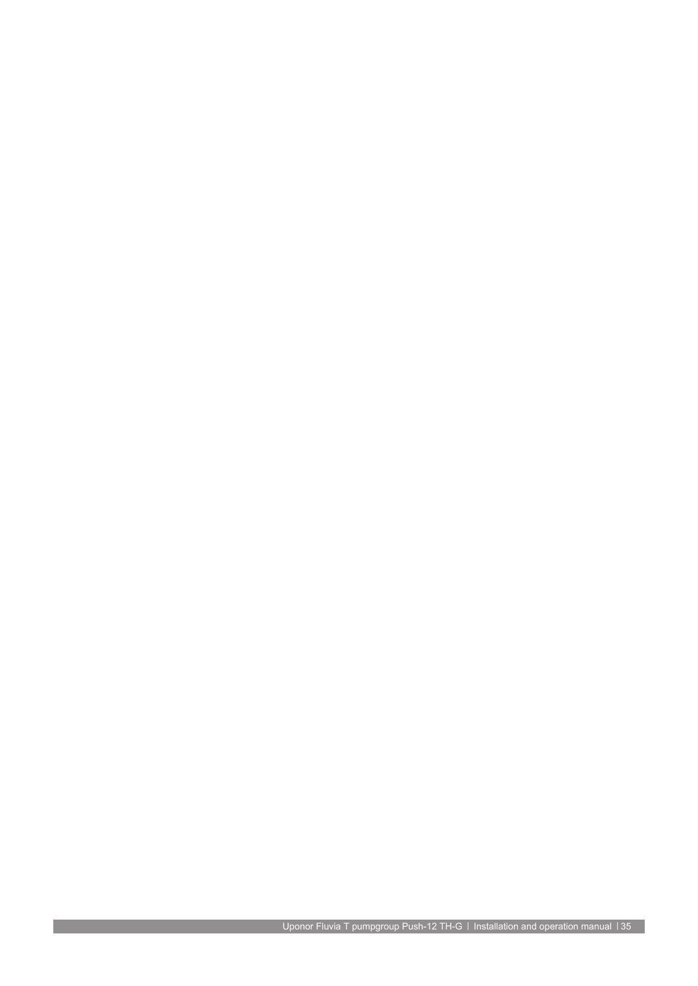the control of the control of the